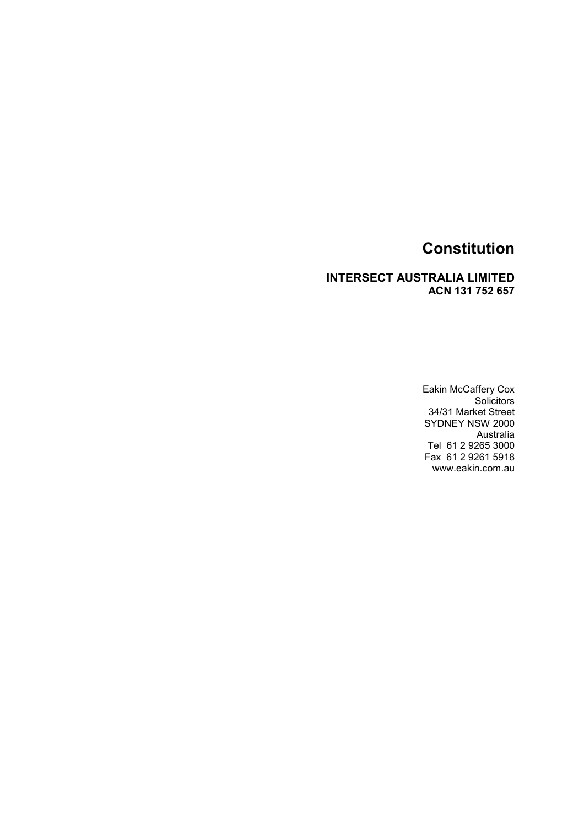#### INTERSECT AUSTRALIA LIMITED ACN 131 752 657

Eakin McCaffery Cox **Solicitors** 34/31 Market Street SYDNEY NSW 2000 Australia Tel 61 2 9265 3000 Fax 61 2 9261 5918 www.eakin.com.au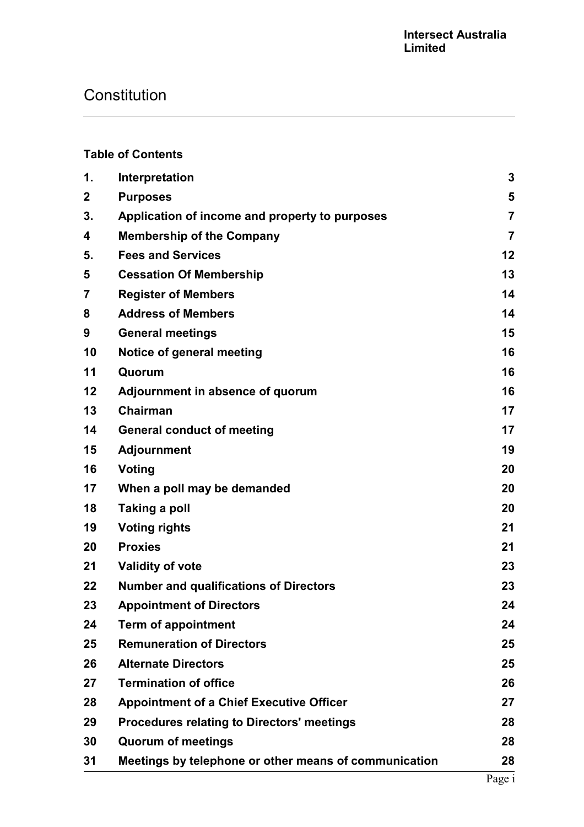### Table of Contents

| 1.             | Interpretation                                        | 3              |
|----------------|-------------------------------------------------------|----------------|
| $\mathbf 2$    | <b>Purposes</b>                                       | 5              |
| 3.             | Application of income and property to purposes        | $\overline{7}$ |
| 4              | <b>Membership of the Company</b>                      | $\overline{7}$ |
| 5.             | <b>Fees and Services</b>                              | 12             |
| 5              | <b>Cessation Of Membership</b>                        | 13             |
| $\overline{7}$ | <b>Register of Members</b>                            | 14             |
| 8              | <b>Address of Members</b>                             | 14             |
| 9              | <b>General meetings</b>                               | 15             |
| 10             | Notice of general meeting                             | 16             |
| 11             | Quorum                                                | 16             |
| 12             | Adjournment in absence of quorum                      | 16             |
| 13             | <b>Chairman</b>                                       | 17             |
| 14             | <b>General conduct of meeting</b>                     | 17             |
| 15             | <b>Adjournment</b>                                    | 19             |
| 16             | Voting                                                | 20             |
| 17             | When a poll may be demanded                           | 20             |
| 18             | Taking a poll                                         | 20             |
| 19             | <b>Voting rights</b>                                  | 21             |
| 20             | <b>Proxies</b>                                        | 21             |
| 21             | <b>Validity of vote</b>                               | 23             |
| 22             | <b>Number and qualifications of Directors</b>         | 23             |
| 23             | <b>Appointment of Directors</b>                       | 24             |
| 24             | <b>Term of appointment</b>                            | 24             |
| 25             | <b>Remuneration of Directors</b>                      | 25             |
| 26             | <b>Alternate Directors</b>                            | 25             |
| 27             | <b>Termination of office</b>                          | 26             |
| 28             | <b>Appointment of a Chief Executive Officer</b>       | 27             |
| 29             | <b>Procedures relating to Directors' meetings</b>     | 28             |
| 30             | <b>Quorum of meetings</b>                             | 28             |
| 31             | Meetings by telephone or other means of communication | 28             |
|                |                                                       |                |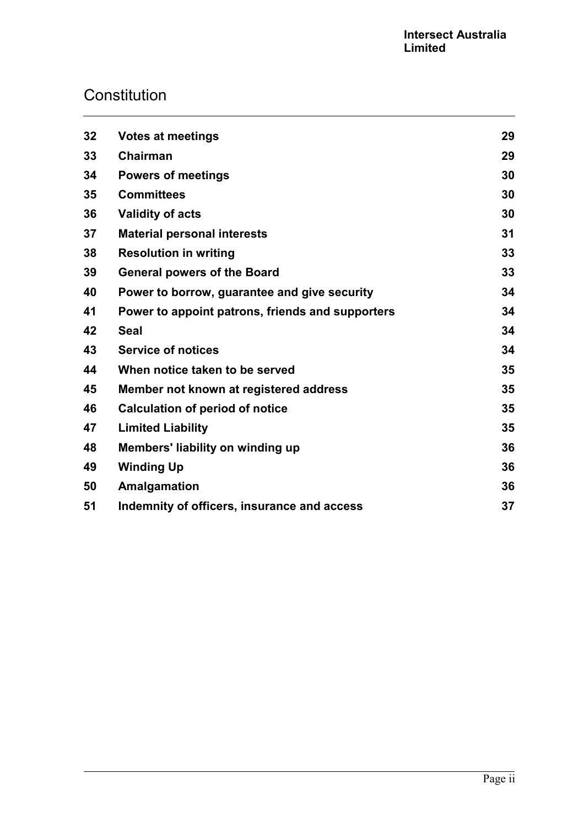| 32 | <b>Votes at meetings</b>                         | 29 |
|----|--------------------------------------------------|----|
| 33 | <b>Chairman</b>                                  | 29 |
| 34 | <b>Powers of meetings</b>                        | 30 |
| 35 | <b>Committees</b>                                | 30 |
| 36 | <b>Validity of acts</b>                          | 30 |
| 37 | <b>Material personal interests</b>               | 31 |
| 38 | <b>Resolution in writing</b>                     | 33 |
| 39 | <b>General powers of the Board</b>               | 33 |
| 40 | Power to borrow, guarantee and give security     | 34 |
| 41 | Power to appoint patrons, friends and supporters | 34 |
| 42 | <b>Seal</b>                                      | 34 |
| 43 | <b>Service of notices</b>                        | 34 |
| 44 | When notice taken to be served                   | 35 |
| 45 | Member not known at registered address           | 35 |
| 46 | <b>Calculation of period of notice</b>           | 35 |
| 47 | <b>Limited Liability</b>                         | 35 |
| 48 | Members' liability on winding up                 | 36 |
| 49 | <b>Winding Up</b>                                | 36 |
| 50 | Amalgamation                                     | 36 |
| 51 | Indemnity of officers, insurance and access      | 37 |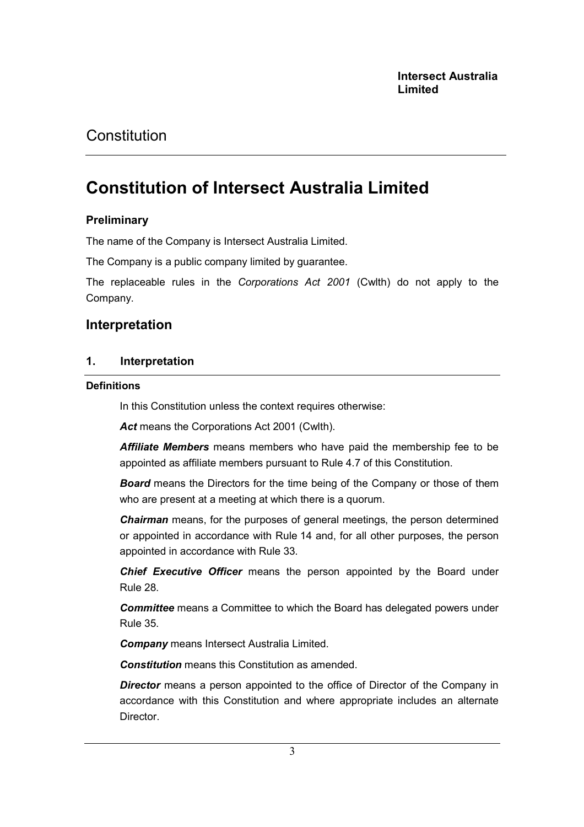# Constitution of Intersect Australia Limited

### **Preliminary**

The name of the Company is Intersect Australia Limited.

The Company is a public company limited by guarantee.

The replaceable rules in the Corporations Act 2001 (Cwlth) do not apply to the Company.

## Interpretation

### 1. Interpretation

#### **Definitions**

In this Constitution unless the context requires otherwise:

Act means the Corporations Act 2001 (Cwlth).

**Affiliate Members** means members who have paid the membership fee to be appointed as affiliate members pursuant to Rule 4.7 of this Constitution.

**Board** means the Directors for the time being of the Company or those of them who are present at a meeting at which there is a quorum.

**Chairman** means, for the purposes of general meetings, the person determined or appointed in accordance with Rule 14 and, for all other purposes, the person appointed in accordance with Rule 33.

Chief Executive Officer means the person appointed by the Board under Rule 28.

**Committee** means a Committee to which the Board has delegated powers under Rule 35.

**Company** means Intersect Australia Limited.

Constitution means this Constitution as amended.

**Director** means a person appointed to the office of Director of the Company in accordance with this Constitution and where appropriate includes an alternate **Director**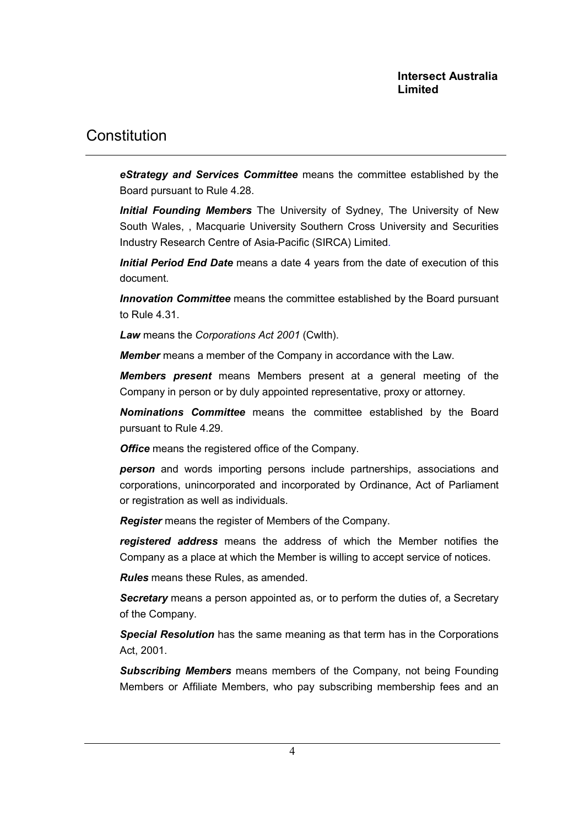eStrategy and Services Committee means the committee established by the Board pursuant to Rule 4.28.

Initial Founding Members The University of Sydney. The University of New South Wales, , Macquarie University Southern Cross University and Securities Industry Research Centre of Asia-Pacific (SIRCA) Limited.

Initial Period End Date means a date 4 years from the date of execution of this document.

**Innovation Committee** means the committee established by the Board pursuant to Rule 4.31.

Law means the Corporations Act 2001 (Cwlth).

**Member** means a member of the Company in accordance with the Law.

**Members present** means Members present at a general meeting of the Company in person or by duly appointed representative, proxy or attorney.

Nominations Committee means the committee established by the Board pursuant to Rule 4.29.

**Office** means the registered office of the Company.

person and words importing persons include partnerships, associations and corporations, unincorporated and incorporated by Ordinance, Act of Parliament or registration as well as individuals.

Register means the register of Members of the Company.

registered address means the address of which the Member notifies the Company as a place at which the Member is willing to accept service of notices.

Rules means these Rules, as amended.

Secretary means a person appointed as, or to perform the duties of, a Secretary of the Company.

Special Resolution has the same meaning as that term has in the Corporations Act, 2001.

Subscribing Members means members of the Company, not being Founding Members or Affiliate Members, who pay subscribing membership fees and an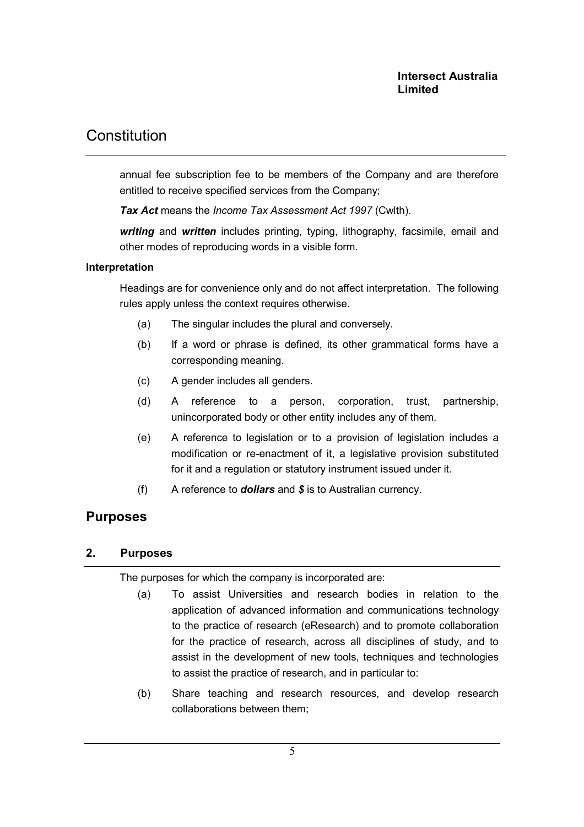annual fee subscription fee to be members of the Company and are therefore entitled to receive specified services from the Company;

Tax Act means the Income Tax Assessment Act 1997 (Cwlth).

writing and written includes printing, typing, lithography, facsimile, email and other modes of reproducing words in a visible form.

#### Interpretation

Headings are for convenience only and do not affect interpretation. The following rules apply unless the context requires otherwise.

- (a) The singular includes the plural and conversely.
- (b) If a word or phrase is defined, its other grammatical forms have a corresponding meaning.
- (c) A gender includes all genders.
- (d) A reference to a person, corporation, trust, partnership, unincorporated body or other entity includes any of them.
- (e) A reference to legislation or to a provision of legislation includes a modification or re-enactment of it, a legislative provision substituted for it and a regulation or statutory instrument issued under it.
- (f) A reference to **dollars** and  $\hat{\boldsymbol{\mathsf{s}}}$  is to Australian currency.

## Purposes

### 2. Purposes

The purposes for which the company is incorporated are:

- (a) To assist Universities and research bodies in relation to the application of advanced information and communications technology to the practice of research (eResearch) and to promote collaboration for the practice of research, across all disciplines of study, and to assist in the development of new tools, techniques and technologies to assist the practice of research, and in particular to:
- (b) Share teaching and research resources, and develop research collaborations between them;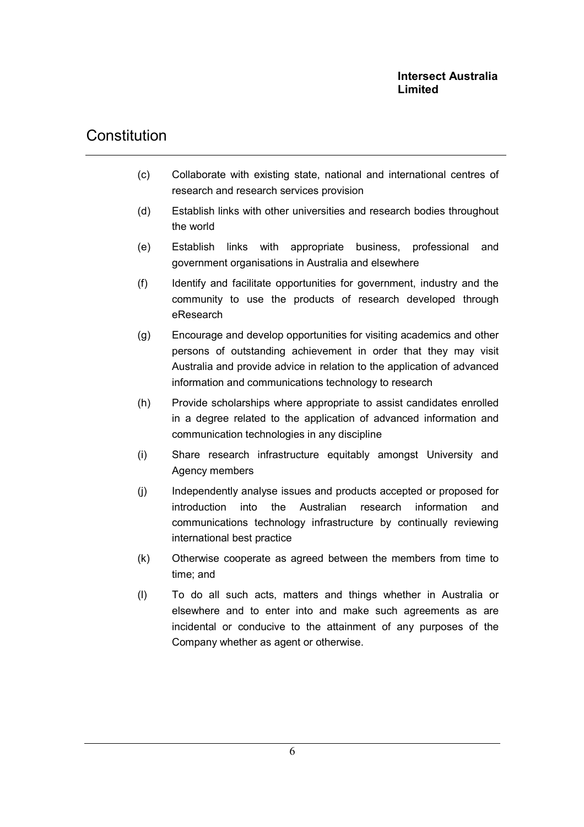- (c) Collaborate with existing state, national and international centres of research and research services provision
- (d) Establish links with other universities and research bodies throughout the world
- (e) Establish links with appropriate business, professional and government organisations in Australia and elsewhere
- (f) Identify and facilitate opportunities for government, industry and the community to use the products of research developed through eResearch
- (g) Encourage and develop opportunities for visiting academics and other persons of outstanding achievement in order that they may visit Australia and provide advice in relation to the application of advanced information and communications technology to research
- (h) Provide scholarships where appropriate to assist candidates enrolled in a degree related to the application of advanced information and communication technologies in any discipline
- (i) Share research infrastructure equitably amongst University and Agency members
- (j) Independently analyse issues and products accepted or proposed for introduction into the Australian research information and communications technology infrastructure by continually reviewing international best practice
- (k) Otherwise cooperate as agreed between the members from time to time; and
- (l) To do all such acts, matters and things whether in Australia or elsewhere and to enter into and make such agreements as are incidental or conducive to the attainment of any purposes of the Company whether as agent or otherwise.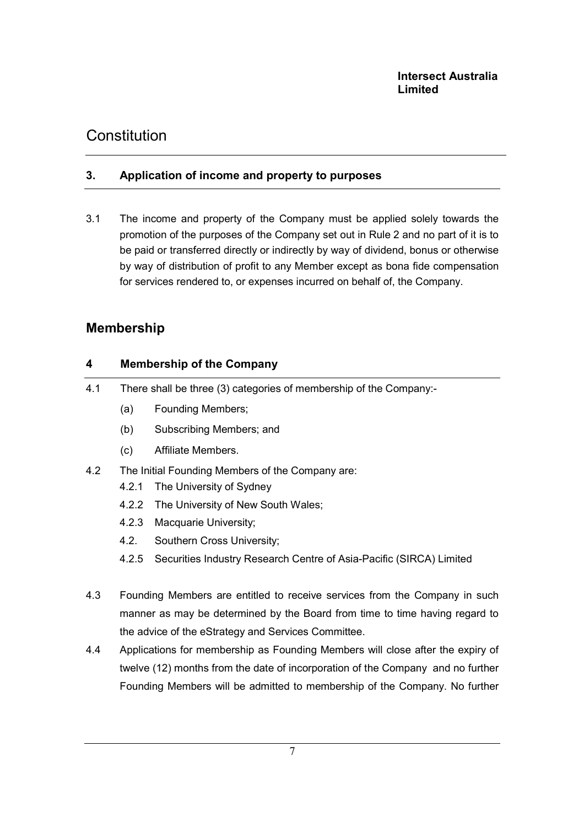### 3. Application of income and property to purposes

3.1 The income and property of the Company must be applied solely towards the promotion of the purposes of the Company set out in Rule 2 and no part of it is to be paid or transferred directly or indirectly by way of dividend, bonus or otherwise by way of distribution of profit to any Member except as bona fide compensation for services rendered to, or expenses incurred on behalf of, the Company.

## Membership

## 4 Membership of the Company

- 4.1 There shall be three (3) categories of membership of the Company:-
	- (a) Founding Members;
	- (b) Subscribing Members; and
	- (c) Affiliate Members.
- 4.2 The Initial Founding Members of the Company are:
	- 4.2.1 The University of Sydney
	- 4.2.2 The University of New South Wales;
	- 4.2.3 Macquarie University;
	- 4.2. Southern Cross University;
	- 4.2.5 Securities Industry Research Centre of Asia-Pacific (SIRCA) Limited
- 4.3 Founding Members are entitled to receive services from the Company in such manner as may be determined by the Board from time to time having regard to the advice of the eStrategy and Services Committee.
- 4.4 Applications for membership as Founding Members will close after the expiry of twelve (12) months from the date of incorporation of the Company and no further Founding Members will be admitted to membership of the Company. No further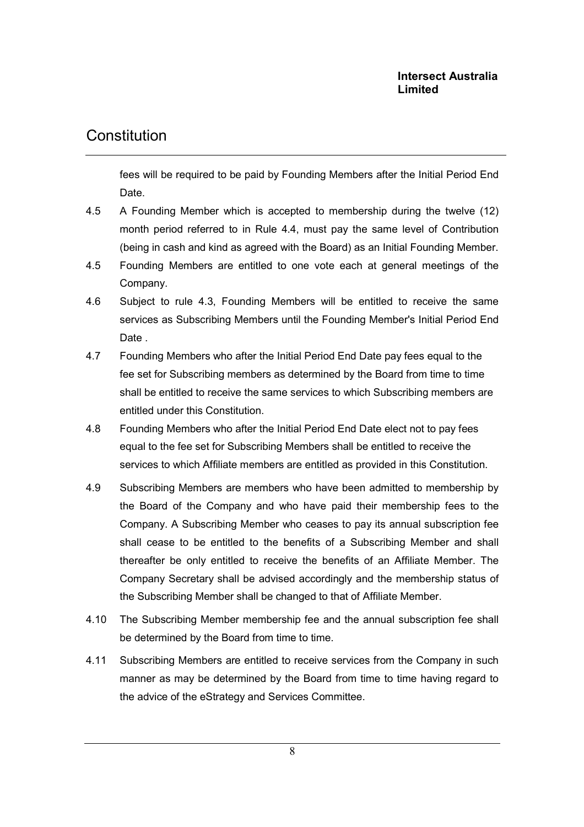## **Constitution**

fees will be required to be paid by Founding Members after the Initial Period End Date.

- 4.5 A Founding Member which is accepted to membership during the twelve (12) month period referred to in Rule 4.4, must pay the same level of Contribution (being in cash and kind as agreed with the Board) as an Initial Founding Member.
- 4.5 Founding Members are entitled to one vote each at general meetings of the Company.
- 4.6 Subject to rule 4.3, Founding Members will be entitled to receive the same services as Subscribing Members until the Founding Member's Initial Period End Date .
- 4.7 Founding Members who after the Initial Period End Date pay fees equal to the fee set for Subscribing members as determined by the Board from time to time shall be entitled to receive the same services to which Subscribing members are entitled under this Constitution.
- 4.8 Founding Members who after the Initial Period End Date elect not to pay fees equal to the fee set for Subscribing Members shall be entitled to receive the services to which Affiliate members are entitled as provided in this Constitution.
- 4.9 Subscribing Members are members who have been admitted to membership by the Board of the Company and who have paid their membership fees to the Company. A Subscribing Member who ceases to pay its annual subscription fee shall cease to be entitled to the benefits of a Subscribing Member and shall thereafter be only entitled to receive the benefits of an Affiliate Member. The Company Secretary shall be advised accordingly and the membership status of the Subscribing Member shall be changed to that of Affiliate Member.
- 4.10 The Subscribing Member membership fee and the annual subscription fee shall be determined by the Board from time to time.
- 4.11 Subscribing Members are entitled to receive services from the Company in such manner as may be determined by the Board from time to time having regard to the advice of the eStrategy and Services Committee.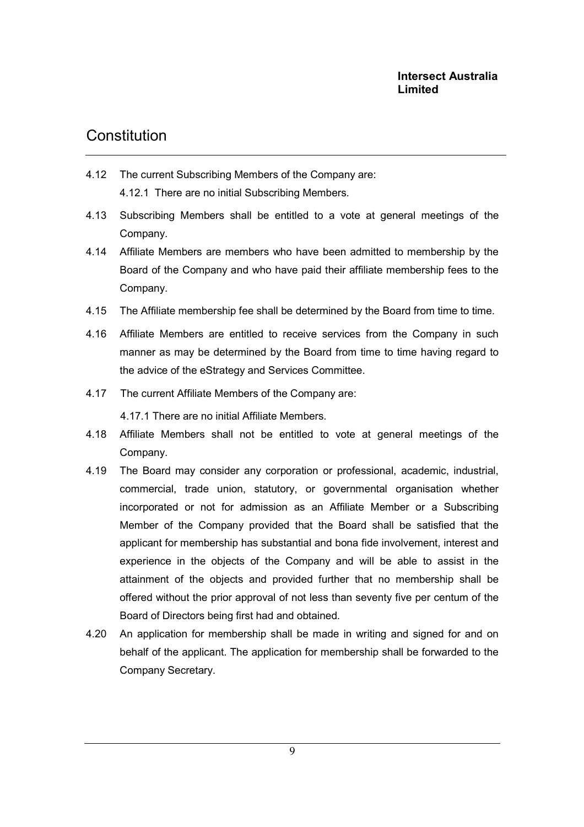- 4.12 The current Subscribing Members of the Company are: 4.12.1 There are no initial Subscribing Members.
- 4.13 Subscribing Members shall be entitled to a vote at general meetings of the Company.
- 4.14 Affiliate Members are members who have been admitted to membership by the Board of the Company and who have paid their affiliate membership fees to the Company.
- 4.15 The Affiliate membership fee shall be determined by the Board from time to time.
- 4.16 Affiliate Members are entitled to receive services from the Company in such manner as may be determined by the Board from time to time having regard to the advice of the eStrategy and Services Committee.
- 4.17 The current Affiliate Members of the Company are:

4.17.1 There are no initial Affiliate Members.

- 4.18 Affiliate Members shall not be entitled to vote at general meetings of the Company.
- 4.19 The Board may consider any corporation or professional, academic, industrial, commercial, trade union, statutory, or governmental organisation whether incorporated or not for admission as an Affiliate Member or a Subscribing Member of the Company provided that the Board shall be satisfied that the applicant for membership has substantial and bona fide involvement, interest and experience in the objects of the Company and will be able to assist in the attainment of the objects and provided further that no membership shall be offered without the prior approval of not less than seventy five per centum of the Board of Directors being first had and obtained.
- 4.20 An application for membership shall be made in writing and signed for and on behalf of the applicant. The application for membership shall be forwarded to the Company Secretary.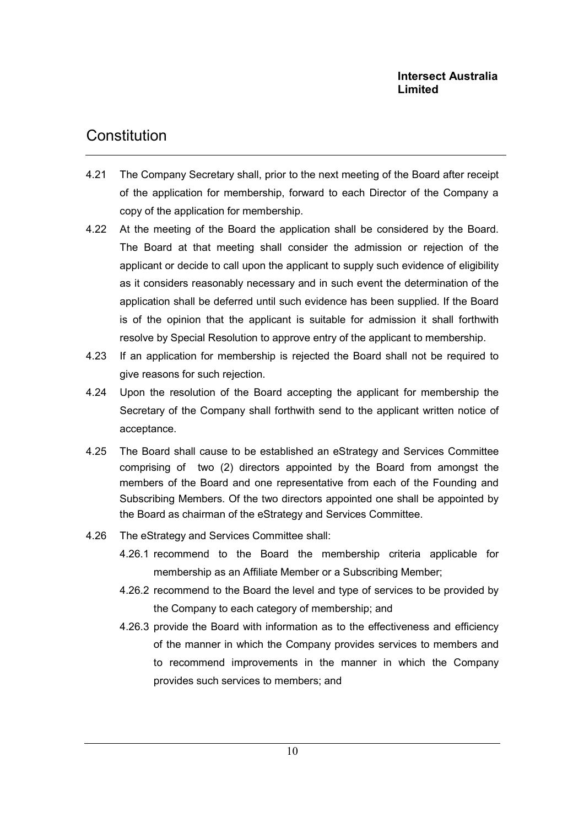- 4.21 The Company Secretary shall, prior to the next meeting of the Board after receipt of the application for membership, forward to each Director of the Company a copy of the application for membership.
- 4.22 At the meeting of the Board the application shall be considered by the Board. The Board at that meeting shall consider the admission or rejection of the applicant or decide to call upon the applicant to supply such evidence of eligibility as it considers reasonably necessary and in such event the determination of the application shall be deferred until such evidence has been supplied. If the Board is of the opinion that the applicant is suitable for admission it shall forthwith resolve by Special Resolution to approve entry of the applicant to membership.
- 4.23 If an application for membership is rejected the Board shall not be required to give reasons for such rejection.
- 4.24 Upon the resolution of the Board accepting the applicant for membership the Secretary of the Company shall forthwith send to the applicant written notice of acceptance.
- 4.25 The Board shall cause to be established an eStrategy and Services Committee comprising of two (2) directors appointed by the Board from amongst the members of the Board and one representative from each of the Founding and Subscribing Members. Of the two directors appointed one shall be appointed by the Board as chairman of the eStrategy and Services Committee.
- 4.26 The eStrategy and Services Committee shall:
	- 4.26.1 recommend to the Board the membership criteria applicable for membership as an Affiliate Member or a Subscribing Member;
	- 4.26.2 recommend to the Board the level and type of services to be provided by the Company to each category of membership; and
	- 4.26.3 provide the Board with information as to the effectiveness and efficiency of the manner in which the Company provides services to members and to recommend improvements in the manner in which the Company provides such services to members; and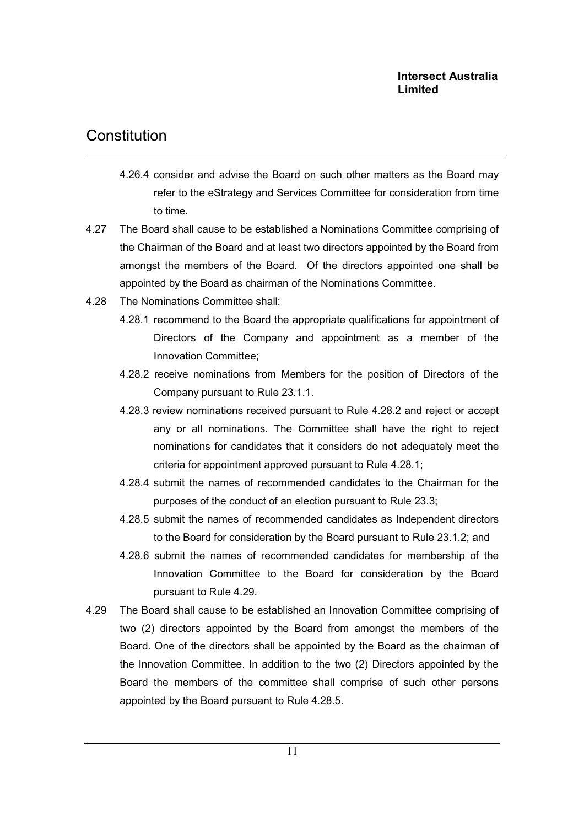## Constitution

- 4.26.4 consider and advise the Board on such other matters as the Board may refer to the eStrategy and Services Committee for consideration from time to time.
- 4.27 The Board shall cause to be established a Nominations Committee comprising of the Chairman of the Board and at least two directors appointed by the Board from amongst the members of the Board. Of the directors appointed one shall be appointed by the Board as chairman of the Nominations Committee.
- 4.28 The Nominations Committee shall:
	- 4.28.1 recommend to the Board the appropriate qualifications for appointment of Directors of the Company and appointment as a member of the Innovation Committee;
	- 4.28.2 receive nominations from Members for the position of Directors of the Company pursuant to Rule 23.1.1.
	- 4.28.3 review nominations received pursuant to Rule 4.28.2 and reject or accept any or all nominations. The Committee shall have the right to reject nominations for candidates that it considers do not adequately meet the criteria for appointment approved pursuant to Rule 4.28.1;
	- 4.28.4 submit the names of recommended candidates to the Chairman for the purposes of the conduct of an election pursuant to Rule 23.3;
	- 4.28.5 submit the names of recommended candidates as Independent directors to the Board for consideration by the Board pursuant to Rule 23.1.2; and
	- 4.28.6 submit the names of recommended candidates for membership of the Innovation Committee to the Board for consideration by the Board pursuant to Rule 4.29.
- 4.29 The Board shall cause to be established an Innovation Committee comprising of two (2) directors appointed by the Board from amongst the members of the Board. One of the directors shall be appointed by the Board as the chairman of the Innovation Committee. In addition to the two (2) Directors appointed by the Board the members of the committee shall comprise of such other persons appointed by the Board pursuant to Rule 4.28.5.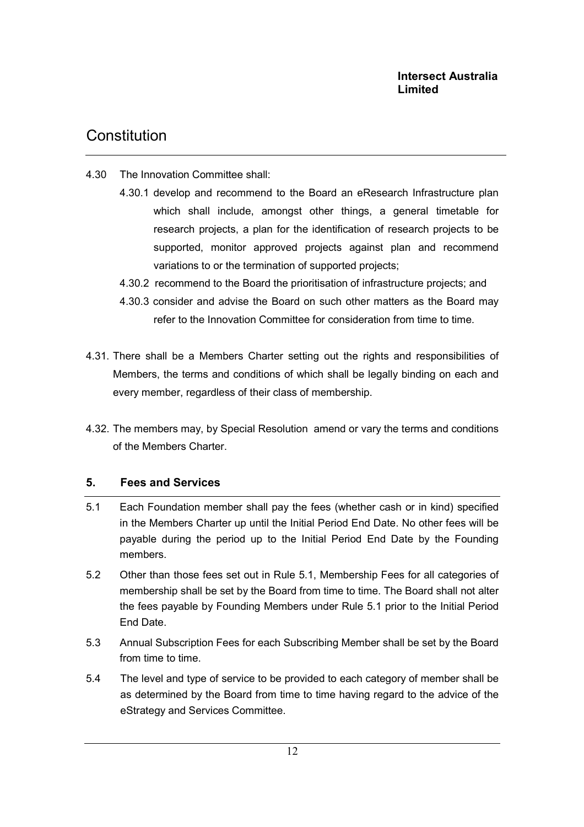## **Constitution**

- 4.30 The Innovation Committee shall:
	- 4.30.1 develop and recommend to the Board an eResearch Infrastructure plan which shall include, amongst other things, a general timetable for research projects, a plan for the identification of research projects to be supported, monitor approved projects against plan and recommend variations to or the termination of supported projects;
		- 4.30.2 recommend to the Board the prioritisation of infrastructure projects; and
		- 4.30.3 consider and advise the Board on such other matters as the Board may refer to the Innovation Committee for consideration from time to time.
- 4.31. There shall be a Members Charter setting out the rights and responsibilities of Members, the terms and conditions of which shall be legally binding on each and every member, regardless of their class of membership.
- 4.32. The members may, by Special Resolution amend or vary the terms and conditions of the Members Charter.

### 5. Fees and Services

- 5.1 Each Foundation member shall pay the fees (whether cash or in kind) specified in the Members Charter up until the Initial Period End Date. No other fees will be payable during the period up to the Initial Period End Date by the Founding members.
- 5.2 Other than those fees set out in Rule 5.1, Membership Fees for all categories of membership shall be set by the Board from time to time. The Board shall not alter the fees payable by Founding Members under Rule 5.1 prior to the Initial Period End Date.
- 5.3 Annual Subscription Fees for each Subscribing Member shall be set by the Board from time to time.
- 5.4 The level and type of service to be provided to each category of member shall be as determined by the Board from time to time having regard to the advice of the eStrategy and Services Committee.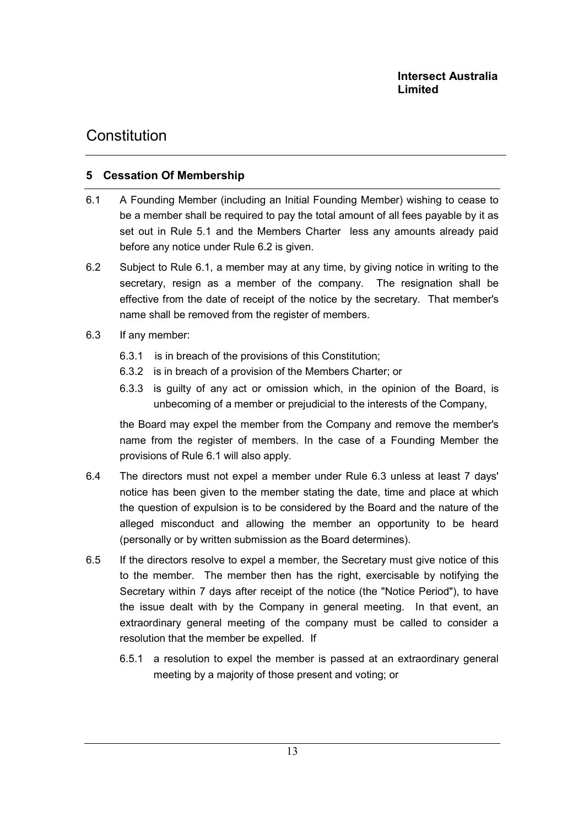## 5 Cessation Of Membership

- 6.1 A Founding Member (including an Initial Founding Member) wishing to cease to be a member shall be required to pay the total amount of all fees payable by it as set out in Rule 5.1 and the Members Charter less any amounts already paid before any notice under Rule 6.2 is given.
- 6.2 Subject to Rule 6.1, a member may at any time, by giving notice in writing to the secretary, resign as a member of the company. The resignation shall be effective from the date of receipt of the notice by the secretary. That member's name shall be removed from the register of members.
- 6.3 If any member:
	- 6.3.1 is in breach of the provisions of this Constitution;
	- 6.3.2 is in breach of a provision of the Members Charter; or
	- 6.3.3 is guilty of any act or omission which, in the opinion of the Board, is unbecoming of a member or prejudicial to the interests of the Company,

the Board may expel the member from the Company and remove the member's name from the register of members. In the case of a Founding Member the provisions of Rule 6.1 will also apply.

- 6.4 The directors must not expel a member under Rule 6.3 unless at least 7 days' notice has been given to the member stating the date, time and place at which the question of expulsion is to be considered by the Board and the nature of the alleged misconduct and allowing the member an opportunity to be heard (personally or by written submission as the Board determines).
- 6.5 If the directors resolve to expel a member, the Secretary must give notice of this to the member. The member then has the right, exercisable by notifying the Secretary within 7 days after receipt of the notice (the "Notice Period"), to have the issue dealt with by the Company in general meeting. In that event, an extraordinary general meeting of the company must be called to consider a resolution that the member be expelled. If
	- 6.5.1 a resolution to expel the member is passed at an extraordinary general meeting by a majority of those present and voting; or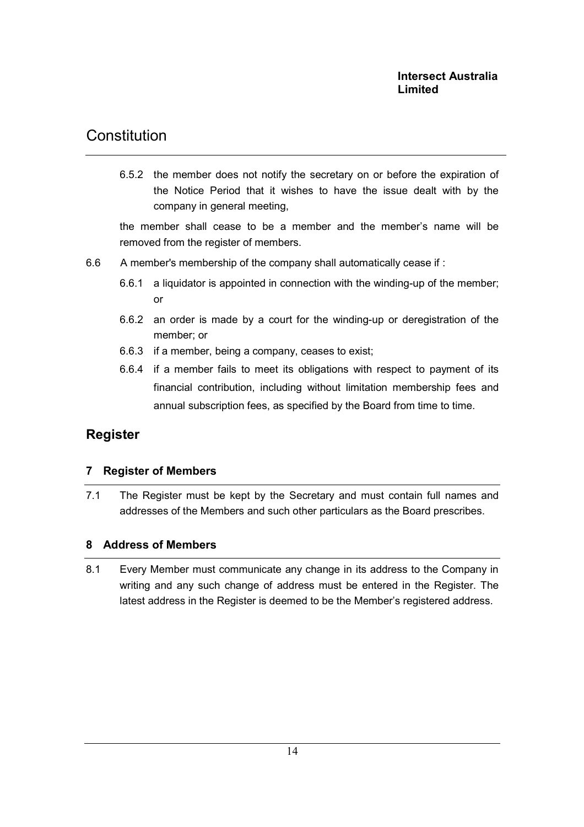6.5.2 the member does not notify the secretary on or before the expiration of the Notice Period that it wishes to have the issue dealt with by the company in general meeting,

the member shall cease to be a member and the member's name will be removed from the register of members.

- 6.6 A member's membership of the company shall automatically cease if :
	- 6.6.1 a liquidator is appointed in connection with the winding-up of the member; or
	- 6.6.2 an order is made by a court for the winding-up or deregistration of the member; or
	- 6.6.3 if a member, being a company, ceases to exist;
	- 6.6.4 if a member fails to meet its obligations with respect to payment of its financial contribution, including without limitation membership fees and annual subscription fees, as specified by the Board from time to time.

## Register

### 7 Register of Members

7.1 The Register must be kept by the Secretary and must contain full names and addresses of the Members and such other particulars as the Board prescribes.

### 8 Address of Members

8.1 Every Member must communicate any change in its address to the Company in writing and any such change of address must be entered in the Register. The latest address in the Register is deemed to be the Member's registered address.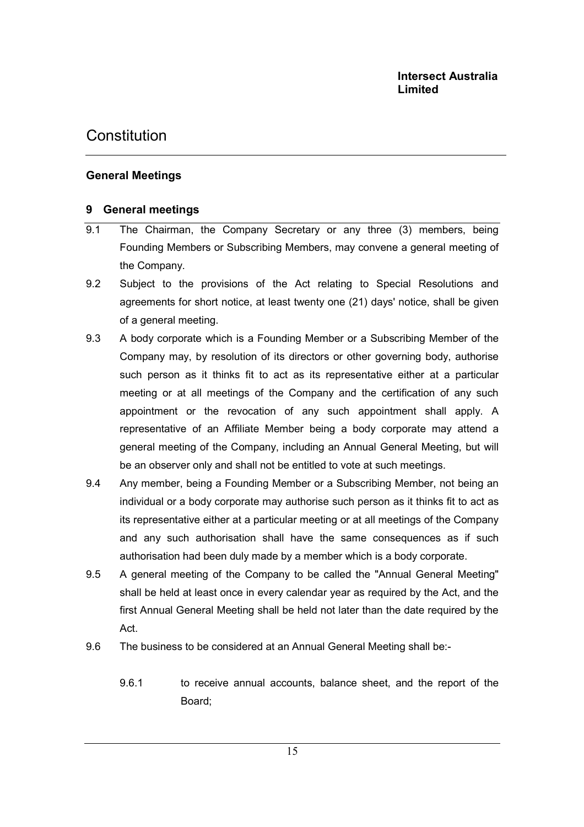### General Meetings

### 9 General meetings

- 9.1 The Chairman, the Company Secretary or any three (3) members, being Founding Members or Subscribing Members, may convene a general meeting of the Company.
- 9.2 Subject to the provisions of the Act relating to Special Resolutions and agreements for short notice, at least twenty one (21) days' notice, shall be given of a general meeting.
- 9.3 A body corporate which is a Founding Member or a Subscribing Member of the Company may, by resolution of its directors or other governing body, authorise such person as it thinks fit to act as its representative either at a particular meeting or at all meetings of the Company and the certification of any such appointment or the revocation of any such appointment shall apply. A representative of an Affiliate Member being a body corporate may attend a general meeting of the Company, including an Annual General Meeting, but will be an observer only and shall not be entitled to vote at such meetings.
- 9.4 Any member, being a Founding Member or a Subscribing Member, not being an individual or a body corporate may authorise such person as it thinks fit to act as its representative either at a particular meeting or at all meetings of the Company and any such authorisation shall have the same consequences as if such authorisation had been duly made by a member which is a body corporate.
- 9.5 A general meeting of the Company to be called the "Annual General Meeting" shall be held at least once in every calendar year as required by the Act, and the first Annual General Meeting shall be held not later than the date required by the Act.
- 9.6 The business to be considered at an Annual General Meeting shall be:-
	- 9.6.1 to receive annual accounts, balance sheet, and the report of the Board;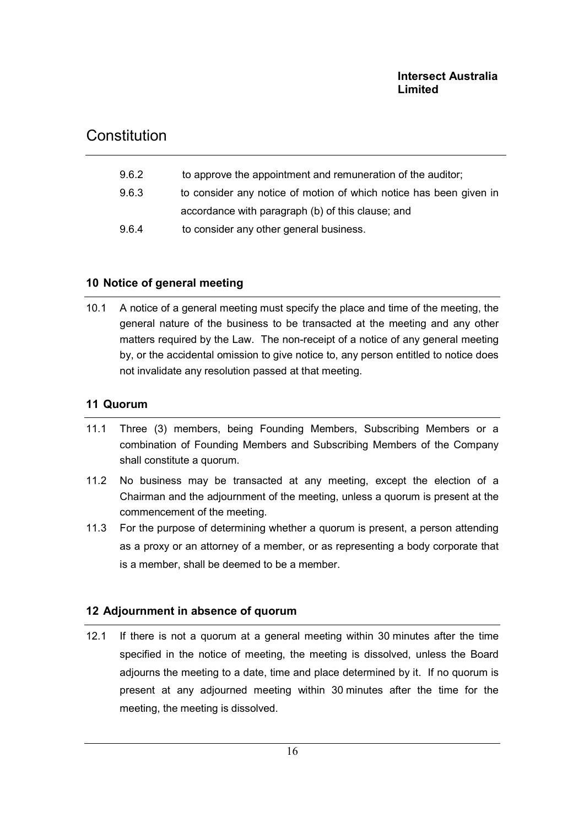## **Constitution**

| to consider any notice of motion of which notice has been given in |
|--------------------------------------------------------------------|
|                                                                    |
|                                                                    |
|                                                                    |

## 10 Notice of general meeting

10.1 A notice of a general meeting must specify the place and time of the meeting, the general nature of the business to be transacted at the meeting and any other matters required by the Law. The non-receipt of a notice of any general meeting by, or the accidental omission to give notice to, any person entitled to notice does not invalidate any resolution passed at that meeting.

### 11 Quorum

- 11.1 Three (3) members, being Founding Members, Subscribing Members or a combination of Founding Members and Subscribing Members of the Company shall constitute a quorum.
- 11.2 No business may be transacted at any meeting, except the election of a Chairman and the adjournment of the meeting, unless a quorum is present at the commencement of the meeting.
- 11.3 For the purpose of determining whether a quorum is present, a person attending as a proxy or an attorney of a member, or as representing a body corporate that is a member, shall be deemed to be a member.

## 12 Adjournment in absence of quorum

12.1 If there is not a quorum at a general meeting within 30 minutes after the time specified in the notice of meeting, the meeting is dissolved, unless the Board adjourns the meeting to a date, time and place determined by it. If no quorum is present at any adjourned meeting within 30 minutes after the time for the meeting, the meeting is dissolved.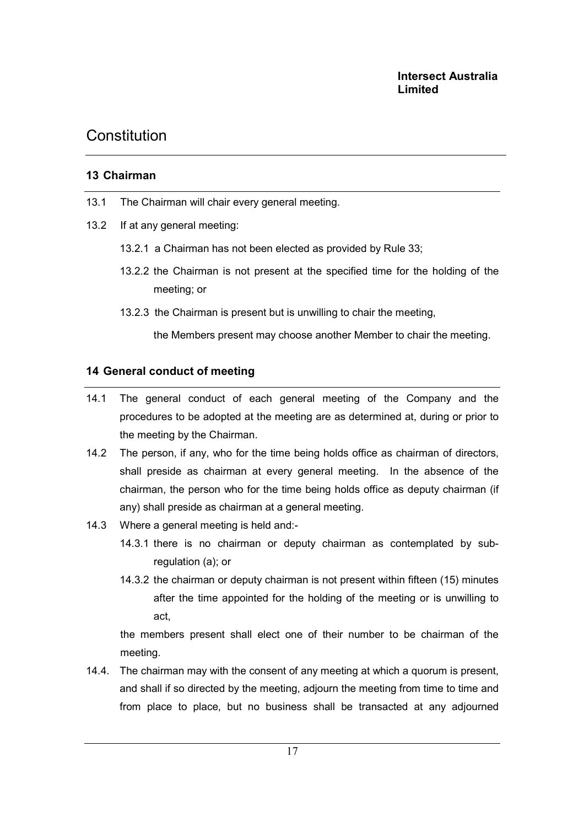### 13 Chairman

- 13.1 The Chairman will chair every general meeting.
- 13.2 If at any general meeting:
	- 13.2.1 a Chairman has not been elected as provided by Rule 33;
	- 13.2.2 the Chairman is not present at the specified time for the holding of the meeting; or
	- 13.2.3 the Chairman is present but is unwilling to chair the meeting,

the Members present may choose another Member to chair the meeting.

### 14 General conduct of meeting

- 14.1 The general conduct of each general meeting of the Company and the procedures to be adopted at the meeting are as determined at, during or prior to the meeting by the Chairman.
- 14.2 The person, if any, who for the time being holds office as chairman of directors, shall preside as chairman at every general meeting. In the absence of the chairman, the person who for the time being holds office as deputy chairman (if any) shall preside as chairman at a general meeting.
- 14.3 Where a general meeting is held and:-
	- 14.3.1 there is no chairman or deputy chairman as contemplated by subregulation (a); or
	- 14.3.2 the chairman or deputy chairman is not present within fifteen (15) minutes after the time appointed for the holding of the meeting or is unwilling to act,

 the members present shall elect one of their number to be chairman of the meeting.

14.4. The chairman may with the consent of any meeting at which a quorum is present, and shall if so directed by the meeting, adjourn the meeting from time to time and from place to place, but no business shall be transacted at any adjourned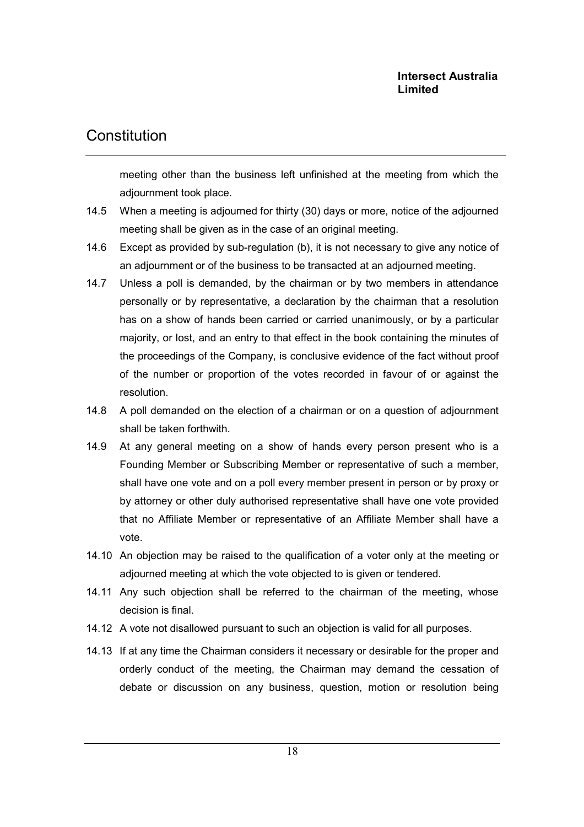## **Constitution**

meeting other than the business left unfinished at the meeting from which the adjournment took place.

- 14.5 When a meeting is adjourned for thirty (30) days or more, notice of the adjourned meeting shall be given as in the case of an original meeting.
- 14.6 Except as provided by sub-regulation (b), it is not necessary to give any notice of an adjournment or of the business to be transacted at an adjourned meeting.
- 14.7 Unless a poll is demanded, by the chairman or by two members in attendance personally or by representative, a declaration by the chairman that a resolution has on a show of hands been carried or carried unanimously, or by a particular majority, or lost, and an entry to that effect in the book containing the minutes of the proceedings of the Company, is conclusive evidence of the fact without proof of the number or proportion of the votes recorded in favour of or against the resolution.
- 14.8 A poll demanded on the election of a chairman or on a question of adjournment shall be taken forthwith.
- 14.9 At any general meeting on a show of hands every person present who is a Founding Member or Subscribing Member or representative of such a member, shall have one vote and on a poll every member present in person or by proxy or by attorney or other duly authorised representative shall have one vote provided that no Affiliate Member or representative of an Affiliate Member shall have a vote.
- 14.10 An objection may be raised to the qualification of a voter only at the meeting or adjourned meeting at which the vote objected to is given or tendered.
- 14.11 Any such objection shall be referred to the chairman of the meeting, whose decision is final.
- 14.12 A vote not disallowed pursuant to such an objection is valid for all purposes.
- 14.13 If at any time the Chairman considers it necessary or desirable for the proper and orderly conduct of the meeting, the Chairman may demand the cessation of debate or discussion on any business, question, motion or resolution being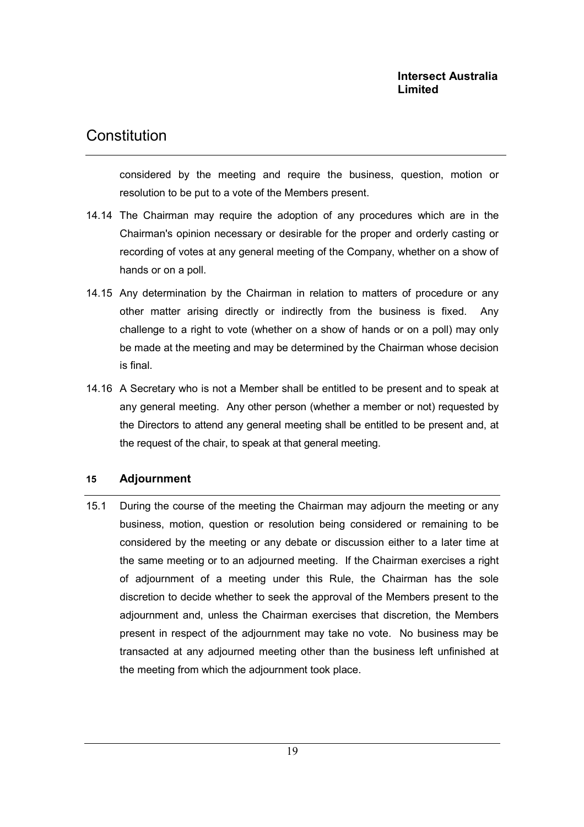considered by the meeting and require the business, question, motion or resolution to be put to a vote of the Members present.

- 14.14 The Chairman may require the adoption of any procedures which are in the Chairman's opinion necessary or desirable for the proper and orderly casting or recording of votes at any general meeting of the Company, whether on a show of hands or on a poll.
- 14.15 Any determination by the Chairman in relation to matters of procedure or any other matter arising directly or indirectly from the business is fixed. Any challenge to a right to vote (whether on a show of hands or on a poll) may only be made at the meeting and may be determined by the Chairman whose decision is final.
- 14.16 A Secretary who is not a Member shall be entitled to be present and to speak at any general meeting. Any other person (whether a member or not) requested by the Directors to attend any general meeting shall be entitled to be present and, at the request of the chair, to speak at that general meeting.

### 15 Adjournment

15.1 During the course of the meeting the Chairman may adjourn the meeting or any business, motion, question or resolution being considered or remaining to be considered by the meeting or any debate or discussion either to a later time at the same meeting or to an adjourned meeting. If the Chairman exercises a right of adjournment of a meeting under this Rule, the Chairman has the sole discretion to decide whether to seek the approval of the Members present to the adjournment and, unless the Chairman exercises that discretion, the Members present in respect of the adjournment may take no vote. No business may be transacted at any adjourned meeting other than the business left unfinished at the meeting from which the adjournment took place.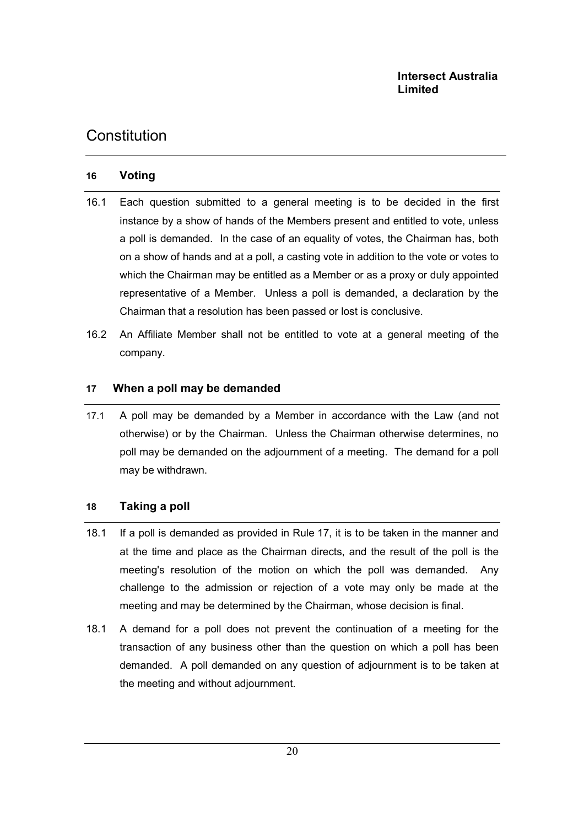### 16 Voting

- 16.1 Each question submitted to a general meeting is to be decided in the first instance by a show of hands of the Members present and entitled to vote, unless a poll is demanded. In the case of an equality of votes, the Chairman has, both on a show of hands and at a poll, a casting vote in addition to the vote or votes to which the Chairman may be entitled as a Member or as a proxy or duly appointed representative of a Member. Unless a poll is demanded, a declaration by the Chairman that a resolution has been passed or lost is conclusive.
- 16.2 An Affiliate Member shall not be entitled to vote at a general meeting of the company.

### 17 When a poll may be demanded

17.1 A poll may be demanded by a Member in accordance with the Law (and not otherwise) or by the Chairman. Unless the Chairman otherwise determines, no poll may be demanded on the adjournment of a meeting. The demand for a poll may be withdrawn.

### 18 Taking a poll

- 18.1 If a poll is demanded as provided in Rule 17, it is to be taken in the manner and at the time and place as the Chairman directs, and the result of the poll is the meeting's resolution of the motion on which the poll was demanded. Any challenge to the admission or rejection of a vote may only be made at the meeting and may be determined by the Chairman, whose decision is final.
- 18.1 A demand for a poll does not prevent the continuation of a meeting for the transaction of any business other than the question on which a poll has been demanded. A poll demanded on any question of adjournment is to be taken at the meeting and without adjournment.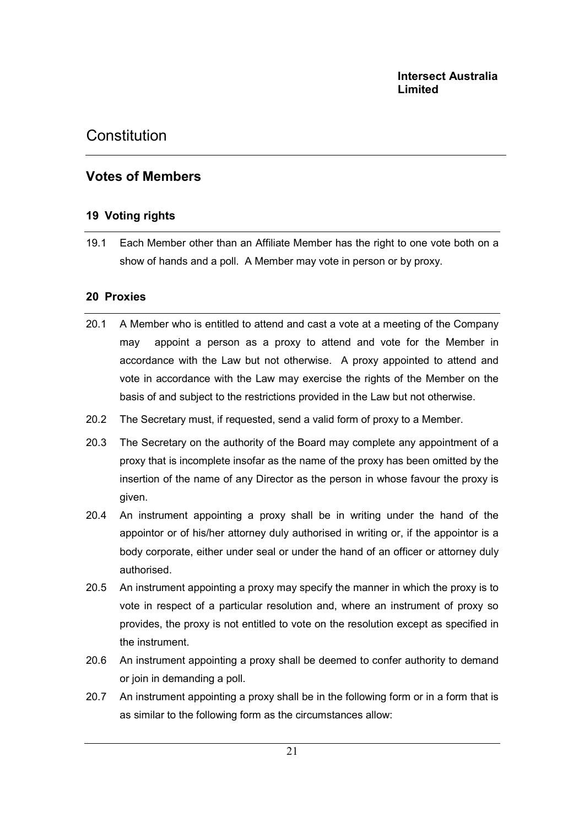## Votes of Members

### 19 Voting rights

19.1 Each Member other than an Affiliate Member has the right to one vote both on a show of hands and a poll. A Member may vote in person or by proxy.

### 20 Proxies

- 20.1 A Member who is entitled to attend and cast a vote at a meeting of the Company may appoint a person as a proxy to attend and vote for the Member in accordance with the Law but not otherwise. A proxy appointed to attend and vote in accordance with the Law may exercise the rights of the Member on the basis of and subject to the restrictions provided in the Law but not otherwise.
- 20.2 The Secretary must, if requested, send a valid form of proxy to a Member.
- 20.3 The Secretary on the authority of the Board may complete any appointment of a proxy that is incomplete insofar as the name of the proxy has been omitted by the insertion of the name of any Director as the person in whose favour the proxy is given.
- 20.4 An instrument appointing a proxy shall be in writing under the hand of the appointor or of his/her attorney duly authorised in writing or, if the appointor is a body corporate, either under seal or under the hand of an officer or attorney duly authorised.
- 20.5 An instrument appointing a proxy may specify the manner in which the proxy is to vote in respect of a particular resolution and, where an instrument of proxy so provides, the proxy is not entitled to vote on the resolution except as specified in the instrument.
- 20.6 An instrument appointing a proxy shall be deemed to confer authority to demand or join in demanding a poll.
- 20.7 An instrument appointing a proxy shall be in the following form or in a form that is as similar to the following form as the circumstances allow: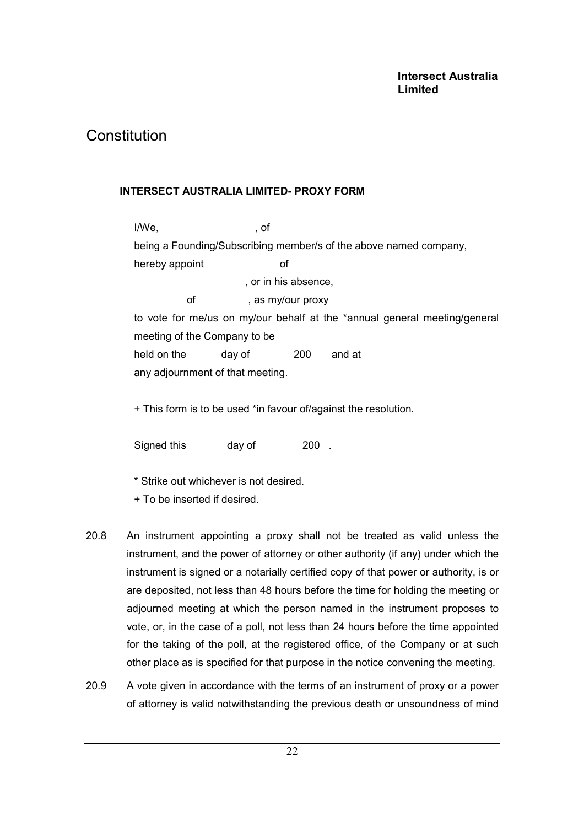### INTERSECT AUSTRALIA LIMITED- PROXY FORM

I/We, of being a Founding/Subscribing member/s of the above named company, hereby appoint of , or in his absence, of , as my/our proxy to vote for me/us on my/our behalf at the \*annual general meeting/general meeting of the Company to be held on the day of 200 and at any adjournment of that meeting.

+ This form is to be used \*in favour of/against the resolution.

Signed this day of 200.

\* Strike out whichever is not desired.

- + To be inserted if desired.
- 20.8 An instrument appointing a proxy shall not be treated as valid unless the instrument, and the power of attorney or other authority (if any) under which the instrument is signed or a notarially certified copy of that power or authority, is or are deposited, not less than 48 hours before the time for holding the meeting or adjourned meeting at which the person named in the instrument proposes to vote, or, in the case of a poll, not less than 24 hours before the time appointed for the taking of the poll, at the registered office, of the Company or at such other place as is specified for that purpose in the notice convening the meeting.
- 20.9 A vote given in accordance with the terms of an instrument of proxy or a power of attorney is valid notwithstanding the previous death or unsoundness of mind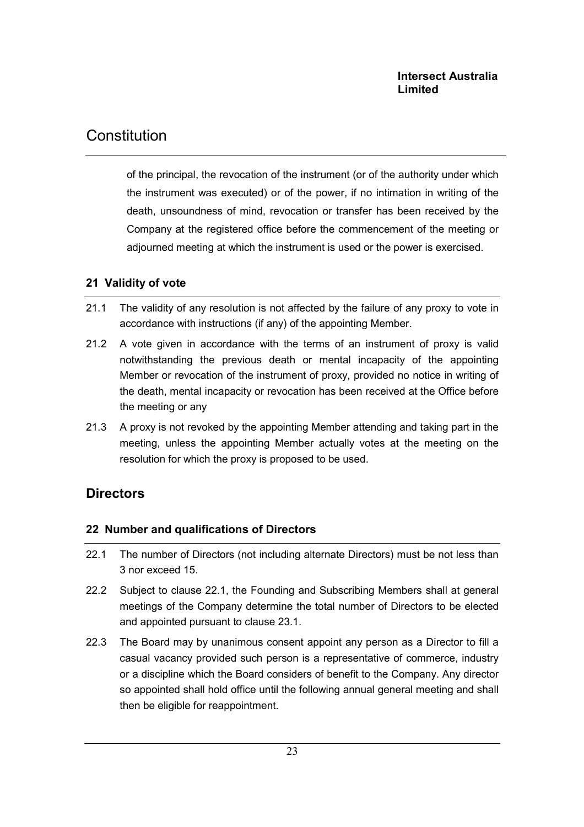## Constitution

of the principal, the revocation of the instrument (or of the authority under which the instrument was executed) or of the power, if no intimation in writing of the death, unsoundness of mind, revocation or transfer has been received by the Company at the registered office before the commencement of the meeting or adjourned meeting at which the instrument is used or the power is exercised.

## 21 Validity of vote

- 21.1 The validity of any resolution is not affected by the failure of any proxy to vote in accordance with instructions (if any) of the appointing Member.
- 21.2 A vote given in accordance with the terms of an instrument of proxy is valid notwithstanding the previous death or mental incapacity of the appointing Member or revocation of the instrument of proxy, provided no notice in writing of the death, mental incapacity or revocation has been received at the Office before the meeting or any
- 21.3 A proxy is not revoked by the appointing Member attending and taking part in the meeting, unless the appointing Member actually votes at the meeting on the resolution for which the proxy is proposed to be used.

## **Directors**

## 22 Number and qualifications of Directors

- 22.1 The number of Directors (not including alternate Directors) must be not less than 3 nor exceed 15.
- 22.2 Subject to clause 22.1, the Founding and Subscribing Members shall at general meetings of the Company determine the total number of Directors to be elected and appointed pursuant to clause 23.1.
- 22.3 The Board may by unanimous consent appoint any person as a Director to fill a casual vacancy provided such person is a representative of commerce, industry or a discipline which the Board considers of benefit to the Company. Any director so appointed shall hold office until the following annual general meeting and shall then be eligible for reappointment.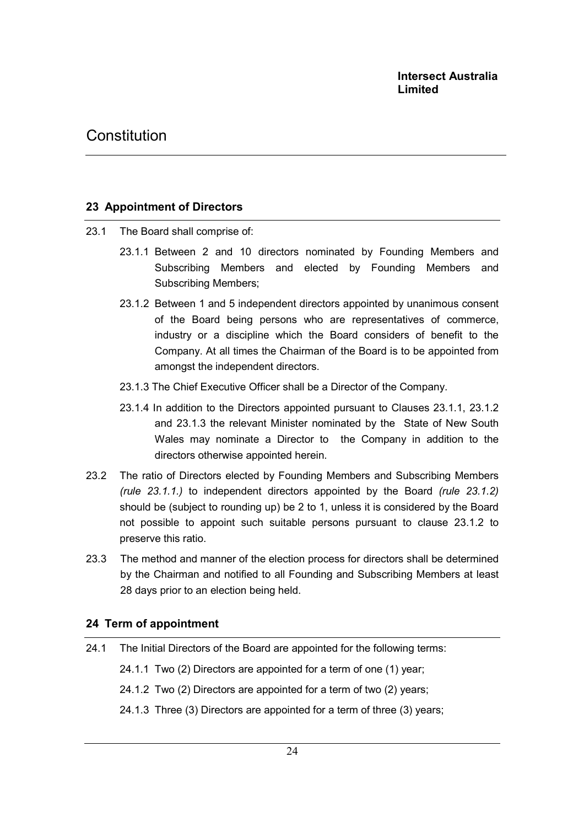### 23 Appointment of Directors

- 23.1 The Board shall comprise of:
	- 23.1.1 Between 2 and 10 directors nominated by Founding Members and Subscribing Members and elected by Founding Members and Subscribing Members;
	- 23.1.2 Between 1 and 5 independent directors appointed by unanimous consent of the Board being persons who are representatives of commerce, industry or a discipline which the Board considers of benefit to the Company. At all times the Chairman of the Board is to be appointed from amongst the independent directors.
	- 23.1.3 The Chief Executive Officer shall be a Director of the Company.
	- 23.1.4 In addition to the Directors appointed pursuant to Clauses 23.1.1, 23.1.2 and 23.1.3 the relevant Minister nominated by the State of New South Wales may nominate a Director to the Company in addition to the directors otherwise appointed herein.
- 23.2 The ratio of Directors elected by Founding Members and Subscribing Members (rule  $23.1.1$ .) to independent directors appointed by the Board (rule  $23.1.2$ ) should be (subject to rounding up) be 2 to 1, unless it is considered by the Board not possible to appoint such suitable persons pursuant to clause 23.1.2 to preserve this ratio.
- 23.3 The method and manner of the election process for directors shall be determined by the Chairman and notified to all Founding and Subscribing Members at least 28 days prior to an election being held.

### 24 Term of appointment

24.1 The Initial Directors of the Board are appointed for the following terms:

24.1.1 Two (2) Directors are appointed for a term of one (1) year;

24.1.2 Two (2) Directors are appointed for a term of two (2) years;

24.1.3 Three (3) Directors are appointed for a term of three (3) years;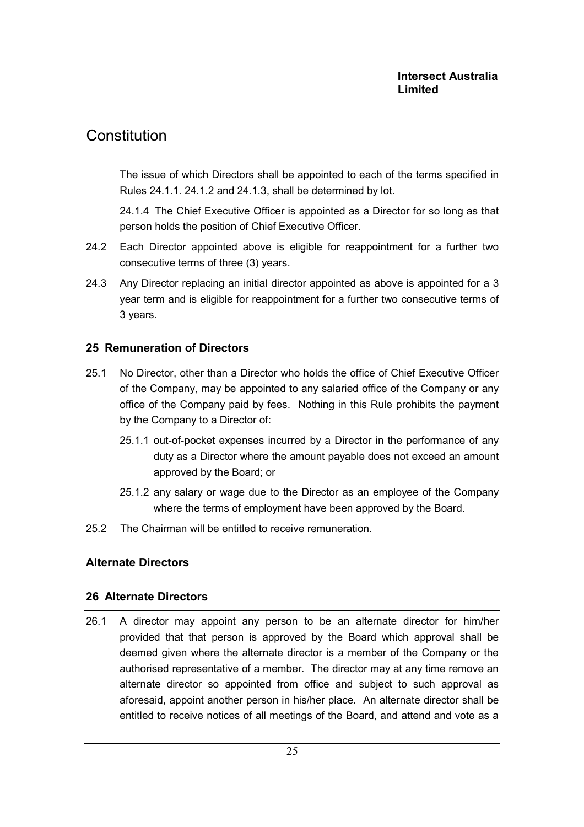The issue of which Directors shall be appointed to each of the terms specified in Rules 24.1.1. 24.1.2 and 24.1.3, shall be determined by lot.

 24.1.4 The Chief Executive Officer is appointed as a Director for so long as that person holds the position of Chief Executive Officer.

- 24.2 Each Director appointed above is eligible for reappointment for a further two consecutive terms of three (3) years.
- 24.3 Any Director replacing an initial director appointed as above is appointed for a 3 year term and is eligible for reappointment for a further two consecutive terms of 3 years.

## 25 Remuneration of Directors

- 25.1 No Director, other than a Director who holds the office of Chief Executive Officer of the Company, may be appointed to any salaried office of the Company or any office of the Company paid by fees. Nothing in this Rule prohibits the payment by the Company to a Director of:
	- 25.1.1 out-of-pocket expenses incurred by a Director in the performance of any duty as a Director where the amount payable does not exceed an amount approved by the Board; or
	- 25.1.2 any salary or wage due to the Director as an employee of the Company where the terms of employment have been approved by the Board.
- 25.2 The Chairman will be entitled to receive remuneration.

### Alternate Directors

### 26 Alternate Directors

26.1 A director may appoint any person to be an alternate director for him/her provided that that person is approved by the Board which approval shall be deemed given where the alternate director is a member of the Company or the authorised representative of a member. The director may at any time remove an alternate director so appointed from office and subject to such approval as aforesaid, appoint another person in his/her place. An alternate director shall be entitled to receive notices of all meetings of the Board, and attend and vote as a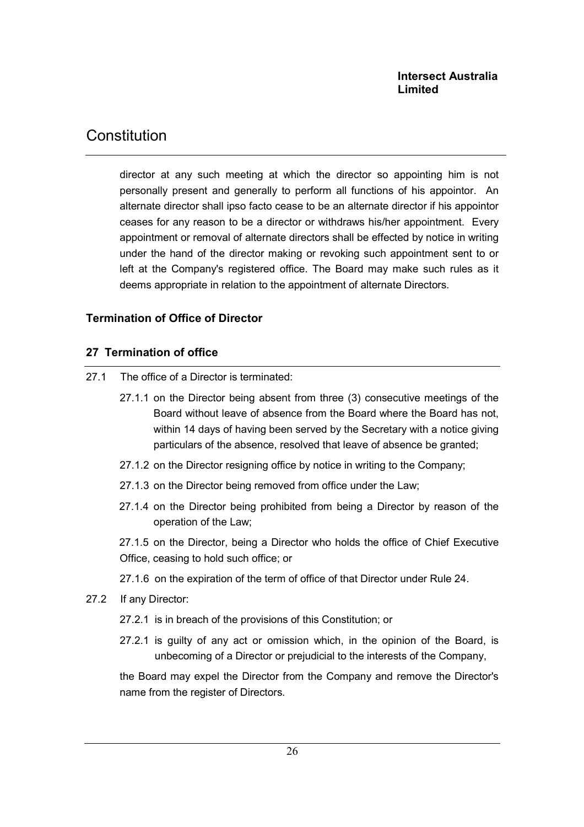## Constitution

director at any such meeting at which the director so appointing him is not personally present and generally to perform all functions of his appointor. An alternate director shall ipso facto cease to be an alternate director if his appointor ceases for any reason to be a director or withdraws his/her appointment. Every appointment or removal of alternate directors shall be effected by notice in writing under the hand of the director making or revoking such appointment sent to or left at the Company's registered office. The Board may make such rules as it deems appropriate in relation to the appointment of alternate Directors.

### Termination of Office of Director

### 27 Termination of office

- 27.1 The office of a Director is terminated:
	- 27.1.1 on the Director being absent from three (3) consecutive meetings of the Board without leave of absence from the Board where the Board has not, within 14 days of having been served by the Secretary with a notice giving particulars of the absence, resolved that leave of absence be granted;
	- 27.1.2 on the Director resigning office by notice in writing to the Company;
	- 27.1.3 on the Director being removed from office under the Law;
	- 27.1.4 on the Director being prohibited from being a Director by reason of the operation of the Law;

27.1.5 on the Director, being a Director who holds the office of Chief Executive Office, ceasing to hold such office; or

- 27.1.6 on the expiration of the term of office of that Director under Rule 24.
- 27.2 If any Director:
	- 27.2.1 is in breach of the provisions of this Constitution; or
	- 27.2.1 is guilty of any act or omission which, in the opinion of the Board, is unbecoming of a Director or prejudicial to the interests of the Company,

the Board may expel the Director from the Company and remove the Director's name from the register of Directors.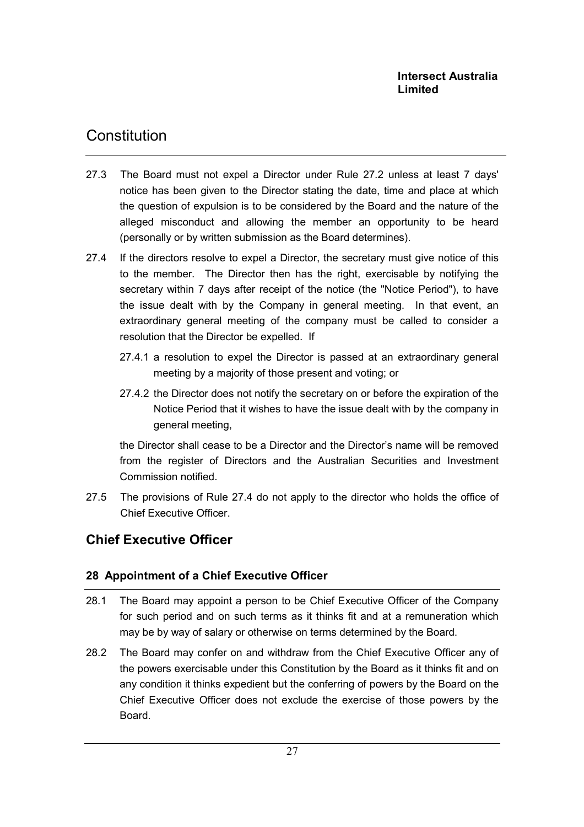- 27.3 The Board must not expel a Director under Rule 27.2 unless at least 7 days' notice has been given to the Director stating the date, time and place at which the question of expulsion is to be considered by the Board and the nature of the alleged misconduct and allowing the member an opportunity to be heard (personally or by written submission as the Board determines).
- 27.4 If the directors resolve to expel a Director, the secretary must give notice of this to the member. The Director then has the right, exercisable by notifying the secretary within 7 days after receipt of the notice (the "Notice Period"), to have the issue dealt with by the Company in general meeting. In that event, an extraordinary general meeting of the company must be called to consider a resolution that the Director be expelled. If
	- 27.4.1 a resolution to expel the Director is passed at an extraordinary general meeting by a majority of those present and voting; or
	- 27.4.2 the Director does not notify the secretary on or before the expiration of the Notice Period that it wishes to have the issue dealt with by the company in general meeting,

the Director shall cease to be a Director and the Director's name will be removed from the register of Directors and the Australian Securities and Investment Commission notified.

27.5 The provisions of Rule 27.4 do not apply to the director who holds the office of Chief Executive Officer.

## Chief Executive Officer

## 28 Appointment of a Chief Executive Officer

- 28.1 The Board may appoint a person to be Chief Executive Officer of the Company for such period and on such terms as it thinks fit and at a remuneration which may be by way of salary or otherwise on terms determined by the Board.
- 28.2 The Board may confer on and withdraw from the Chief Executive Officer any of the powers exercisable under this Constitution by the Board as it thinks fit and on any condition it thinks expedient but the conferring of powers by the Board on the Chief Executive Officer does not exclude the exercise of those powers by the Board.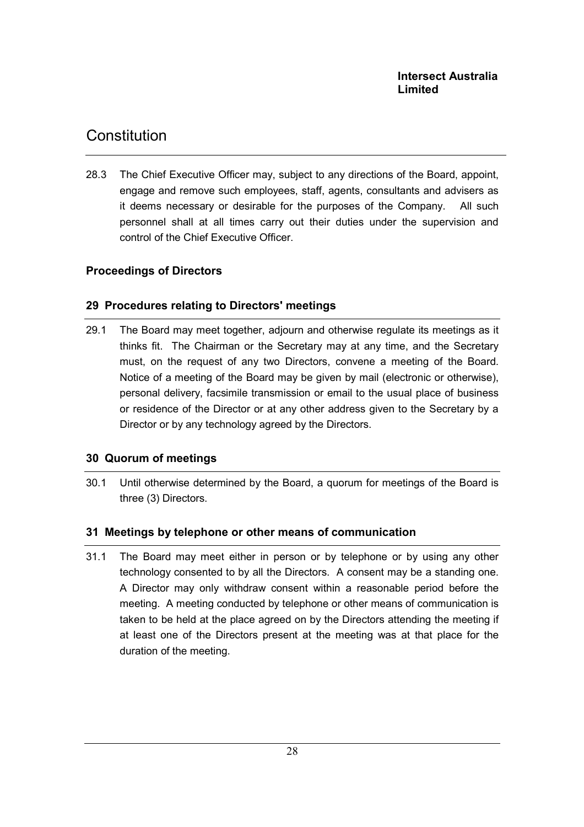28.3 The Chief Executive Officer may, subject to any directions of the Board, appoint, engage and remove such employees, staff, agents, consultants and advisers as it deems necessary or desirable for the purposes of the Company. All such personnel shall at all times carry out their duties under the supervision and control of the Chief Executive Officer.

## Proceedings of Directors

### 29 Procedures relating to Directors' meetings

29.1 The Board may meet together, adjourn and otherwise regulate its meetings as it thinks fit. The Chairman or the Secretary may at any time, and the Secretary must, on the request of any two Directors, convene a meeting of the Board. Notice of a meeting of the Board may be given by mail (electronic or otherwise), personal delivery, facsimile transmission or email to the usual place of business or residence of the Director or at any other address given to the Secretary by a Director or by any technology agreed by the Directors.

### 30 Quorum of meetings

30.1 Until otherwise determined by the Board, a quorum for meetings of the Board is three (3) Directors.

### 31 Meetings by telephone or other means of communication

31.1 The Board may meet either in person or by telephone or by using any other technology consented to by all the Directors. A consent may be a standing one. A Director may only withdraw consent within a reasonable period before the meeting. A meeting conducted by telephone or other means of communication is taken to be held at the place agreed on by the Directors attending the meeting if at least one of the Directors present at the meeting was at that place for the duration of the meeting.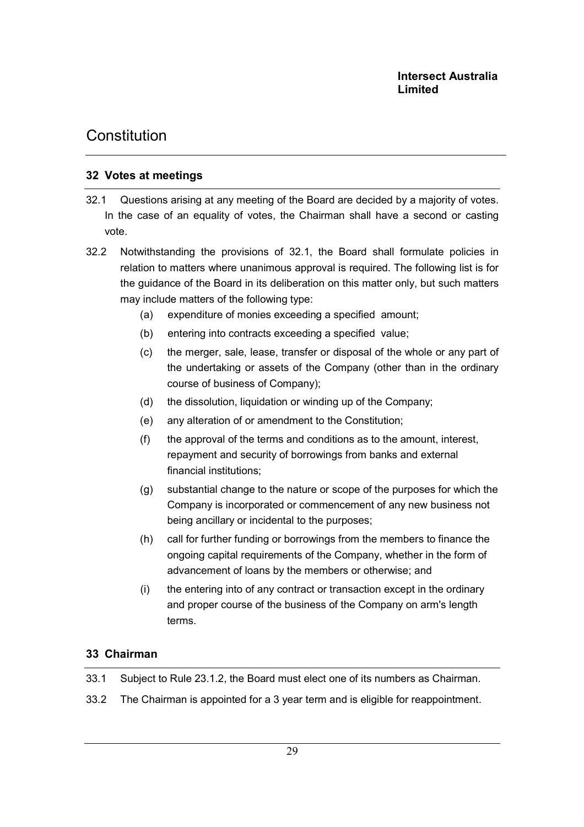## 32 Votes at meetings

- 32.1 Questions arising at any meeting of the Board are decided by a majority of votes. In the case of an equality of votes, the Chairman shall have a second or casting vote.
- 32.2 Notwithstanding the provisions of 32.1, the Board shall formulate policies in relation to matters where unanimous approval is required. The following list is for the guidance of the Board in its deliberation on this matter only, but such matters may include matters of the following type:
	- (a) expenditure of monies exceeding a specified amount;
	- (b) entering into contracts exceeding a specified value;
	- (c) the merger, sale, lease, transfer or disposal of the whole or any part of the undertaking or assets of the Company (other than in the ordinary course of business of Company);
	- (d) the dissolution, liquidation or winding up of the Company;
	- (e) any alteration of or amendment to the Constitution;
	- (f) the approval of the terms and conditions as to the amount, interest, repayment and security of borrowings from banks and external financial institutions;
	- (g) substantial change to the nature or scope of the purposes for which the Company is incorporated or commencement of any new business not being ancillary or incidental to the purposes;
	- (h) call for further funding or borrowings from the members to finance the ongoing capital requirements of the Company, whether in the form of advancement of loans by the members or otherwise; and
	- (i) the entering into of any contract or transaction except in the ordinary and proper course of the business of the Company on arm's length terms.

### 33 Chairman

- 33.1 Subject to Rule 23.1.2, the Board must elect one of its numbers as Chairman.
- 33.2 The Chairman is appointed for a 3 year term and is eligible for reappointment.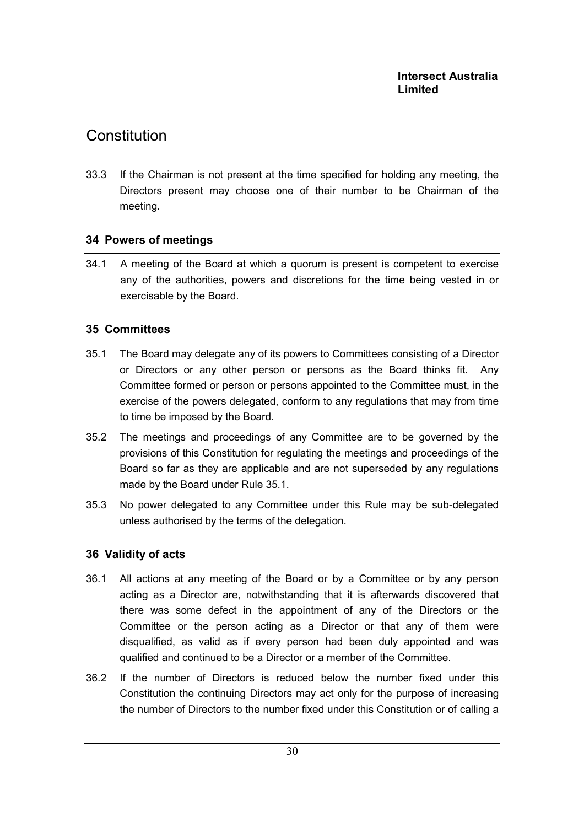33.3 If the Chairman is not present at the time specified for holding any meeting, the Directors present may choose one of their number to be Chairman of the meeting.

## 34 Powers of meetings

34.1 A meeting of the Board at which a quorum is present is competent to exercise any of the authorities, powers and discretions for the time being vested in or exercisable by the Board.

## 35 Committees

- 35.1 The Board may delegate any of its powers to Committees consisting of a Director or Directors or any other person or persons as the Board thinks fit. Any Committee formed or person or persons appointed to the Committee must, in the exercise of the powers delegated, conform to any regulations that may from time to time be imposed by the Board.
- 35.2 The meetings and proceedings of any Committee are to be governed by the provisions of this Constitution for regulating the meetings and proceedings of the Board so far as they are applicable and are not superseded by any regulations made by the Board under Rule 35.1.
- 35.3 No power delegated to any Committee under this Rule may be sub-delegated unless authorised by the terms of the delegation.

### 36 Validity of acts

- 36.1 All actions at any meeting of the Board or by a Committee or by any person acting as a Director are, notwithstanding that it is afterwards discovered that there was some defect in the appointment of any of the Directors or the Committee or the person acting as a Director or that any of them were disqualified, as valid as if every person had been duly appointed and was qualified and continued to be a Director or a member of the Committee.
- 36.2 If the number of Directors is reduced below the number fixed under this Constitution the continuing Directors may act only for the purpose of increasing the number of Directors to the number fixed under this Constitution or of calling a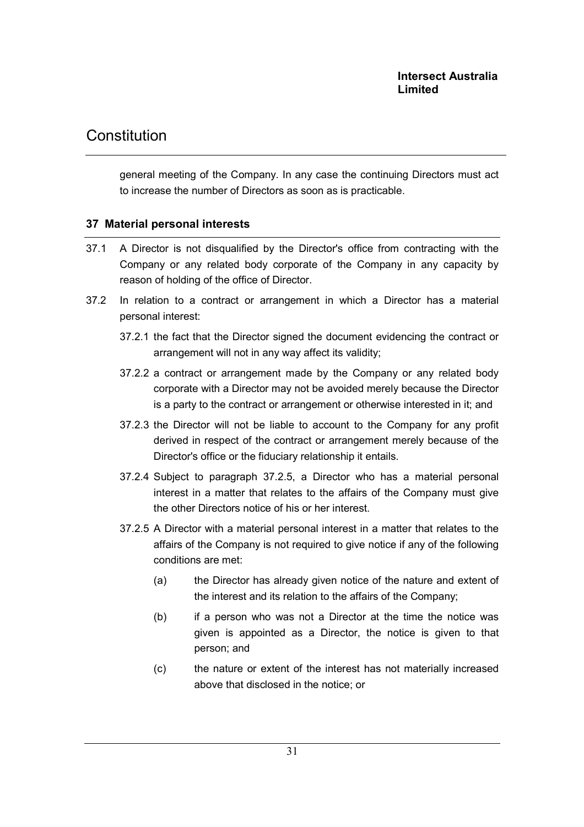general meeting of the Company. In any case the continuing Directors must act to increase the number of Directors as soon as is practicable.

### 37 Material personal interests

- 37.1 A Director is not disqualified by the Director's office from contracting with the Company or any related body corporate of the Company in any capacity by reason of holding of the office of Director.
- 37.2 In relation to a contract or arrangement in which a Director has a material personal interest:
	- 37.2.1 the fact that the Director signed the document evidencing the contract or arrangement will not in any way affect its validity;
	- 37.2.2 a contract or arrangement made by the Company or any related body corporate with a Director may not be avoided merely because the Director is a party to the contract or arrangement or otherwise interested in it; and
	- 37.2.3 the Director will not be liable to account to the Company for any profit derived in respect of the contract or arrangement merely because of the Director's office or the fiduciary relationship it entails.
	- 37.2.4 Subject to paragraph 37.2.5, a Director who has a material personal interest in a matter that relates to the affairs of the Company must give the other Directors notice of his or her interest.
	- 37.2.5 A Director with a material personal interest in a matter that relates to the affairs of the Company is not required to give notice if any of the following conditions are met:
		- (a) the Director has already given notice of the nature and extent of the interest and its relation to the affairs of the Company;
		- (b) if a person who was not a Director at the time the notice was given is appointed as a Director, the notice is given to that person; and
		- (c) the nature or extent of the interest has not materially increased above that disclosed in the notice; or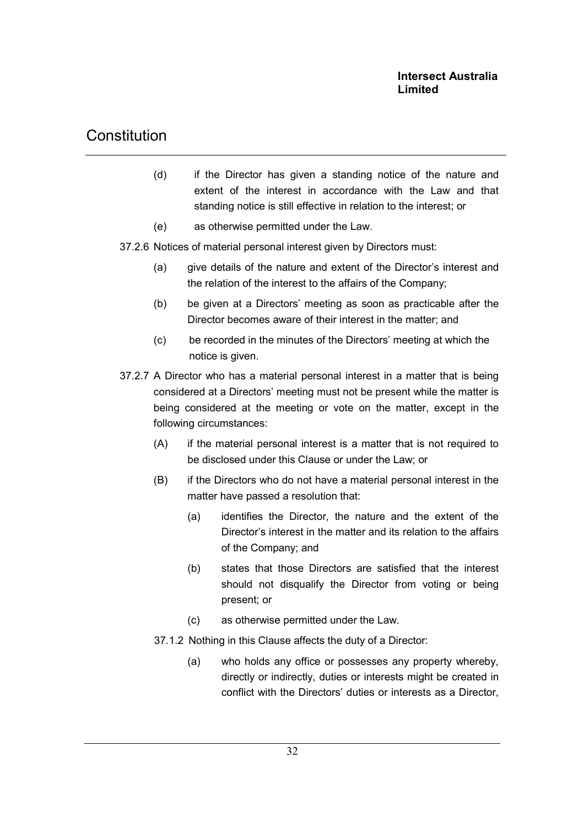- (d) if the Director has given a standing notice of the nature and extent of the interest in accordance with the Law and that standing notice is still effective in relation to the interest; or
- (e) as otherwise permitted under the Law.
- 37.2.6 Notices of material personal interest given by Directors must:
	- (a) give details of the nature and extent of the Director's interest and the relation of the interest to the affairs of the Company;
	- (b) be given at a Directors' meeting as soon as practicable after the Director becomes aware of their interest in the matter; and
	- (c) be recorded in the minutes of the Directors' meeting at which the notice is given.
- 37.2.7 A Director who has a material personal interest in a matter that is being considered at a Directors' meeting must not be present while the matter is being considered at the meeting or vote on the matter, except in the following circumstances:
	- (A) if the material personal interest is a matter that is not required to be disclosed under this Clause or under the Law; or
	- (B) if the Directors who do not have a material personal interest in the matter have passed a resolution that:
		- (a) identifies the Director, the nature and the extent of the Director's interest in the matter and its relation to the affairs of the Company; and
		- (b) states that those Directors are satisfied that the interest should not disqualify the Director from voting or being present; or
		- (c) as otherwise permitted under the Law.
	- 37.1.2 Nothing in this Clause affects the duty of a Director:
		- (a) who holds any office or possesses any property whereby, directly or indirectly, duties or interests might be created in conflict with the Directors' duties or interests as a Director,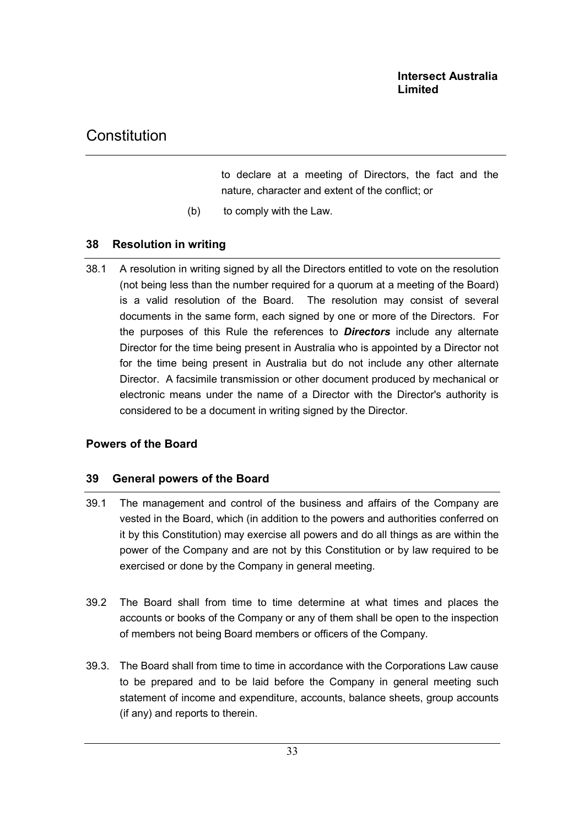to declare at a meeting of Directors, the fact and the nature, character and extent of the conflict; or

(b) to comply with the Law.

### 38 Resolution in writing

38.1 A resolution in writing signed by all the Directors entitled to vote on the resolution (not being less than the number required for a quorum at a meeting of the Board) is a valid resolution of the Board. The resolution may consist of several documents in the same form, each signed by one or more of the Directors. For the purposes of this Rule the references to **Directors** include any alternate Director for the time being present in Australia who is appointed by a Director not for the time being present in Australia but do not include any other alternate Director. A facsimile transmission or other document produced by mechanical or electronic means under the name of a Director with the Director's authority is considered to be a document in writing signed by the Director.

### Powers of the Board

### 39 General powers of the Board

- 39.1 The management and control of the business and affairs of the Company are vested in the Board, which (in addition to the powers and authorities conferred on it by this Constitution) may exercise all powers and do all things as are within the power of the Company and are not by this Constitution or by law required to be exercised or done by the Company in general meeting.
- 39.2 The Board shall from time to time determine at what times and places the accounts or books of the Company or any of them shall be open to the inspection of members not being Board members or officers of the Company.
- 39.3. The Board shall from time to time in accordance with the Corporations Law cause to be prepared and to be laid before the Company in general meeting such statement of income and expenditure, accounts, balance sheets, group accounts (if any) and reports to therein.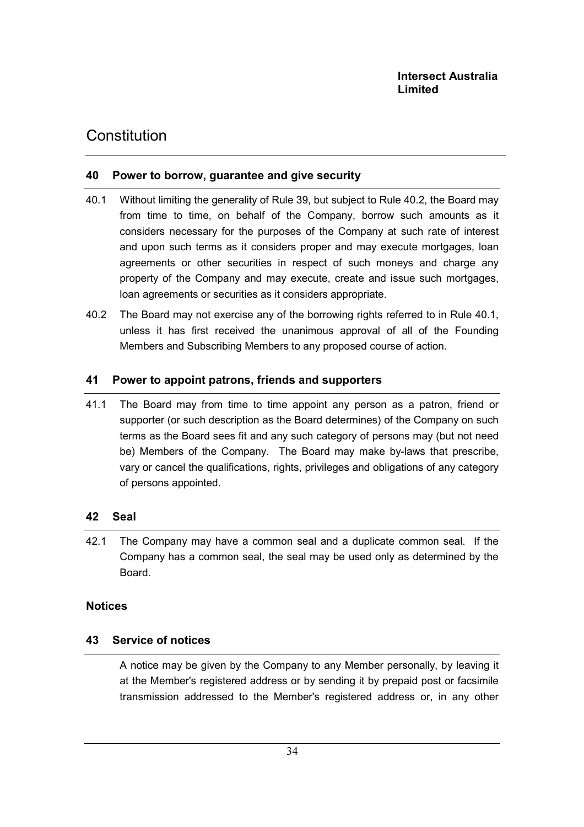### 40 Power to borrow, guarantee and give security

- 40.1 Without limiting the generality of Rule 39, but subject to Rule 40.2, the Board may from time to time, on behalf of the Company, borrow such amounts as it considers necessary for the purposes of the Company at such rate of interest and upon such terms as it considers proper and may execute mortgages, loan agreements or other securities in respect of such moneys and charge any property of the Company and may execute, create and issue such mortgages, loan agreements or securities as it considers appropriate.
- 40.2 The Board may not exercise any of the borrowing rights referred to in Rule 40.1, unless it has first received the unanimous approval of all of the Founding Members and Subscribing Members to any proposed course of action.

### 41 Power to appoint patrons, friends and supporters

41.1 The Board may from time to time appoint any person as a patron, friend or supporter (or such description as the Board determines) of the Company on such terms as the Board sees fit and any such category of persons may (but not need be) Members of the Company. The Board may make by-laws that prescribe, vary or cancel the qualifications, rights, privileges and obligations of any category of persons appointed.

### 42 Seal

42.1 The Company may have a common seal and a duplicate common seal. If the Company has a common seal, the seal may be used only as determined by the Board.

### **Notices**

### 43 Service of notices

A notice may be given by the Company to any Member personally, by leaving it at the Member's registered address or by sending it by prepaid post or facsimile transmission addressed to the Member's registered address or, in any other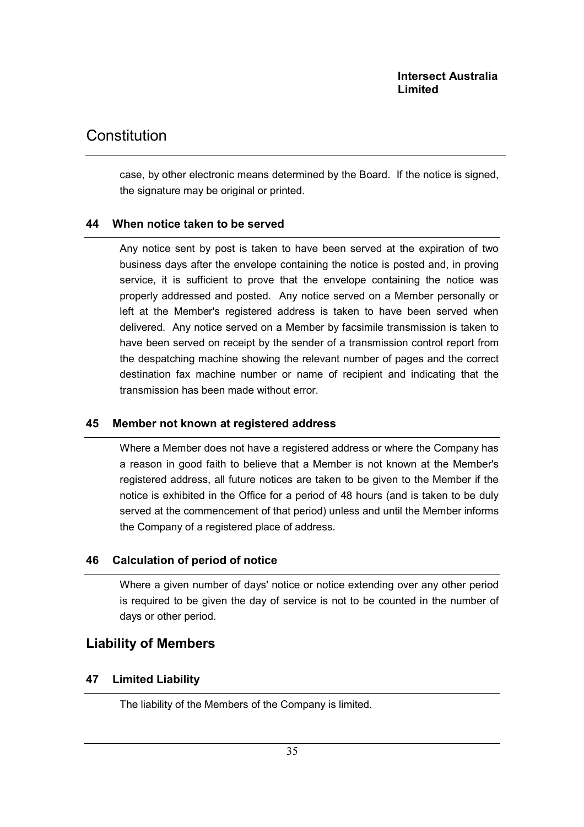## **Constitution**

case, by other electronic means determined by the Board. If the notice is signed, the signature may be original or printed.

### 44 When notice taken to be served

Any notice sent by post is taken to have been served at the expiration of two business days after the envelope containing the notice is posted and, in proving service, it is sufficient to prove that the envelope containing the notice was properly addressed and posted. Any notice served on a Member personally or left at the Member's registered address is taken to have been served when delivered. Any notice served on a Member by facsimile transmission is taken to have been served on receipt by the sender of a transmission control report from the despatching machine showing the relevant number of pages and the correct destination fax machine number or name of recipient and indicating that the transmission has been made without error.

### 45 Member not known at registered address

Where a Member does not have a registered address or where the Company has a reason in good faith to believe that a Member is not known at the Member's registered address, all future notices are taken to be given to the Member if the notice is exhibited in the Office for a period of 48 hours (and is taken to be duly served at the commencement of that period) unless and until the Member informs the Company of a registered place of address.

### 46 Calculation of period of notice

Where a given number of days' notice or notice extending over any other period is required to be given the day of service is not to be counted in the number of days or other period.

## Liability of Members

### 47 Limited Liability

The liability of the Members of the Company is limited.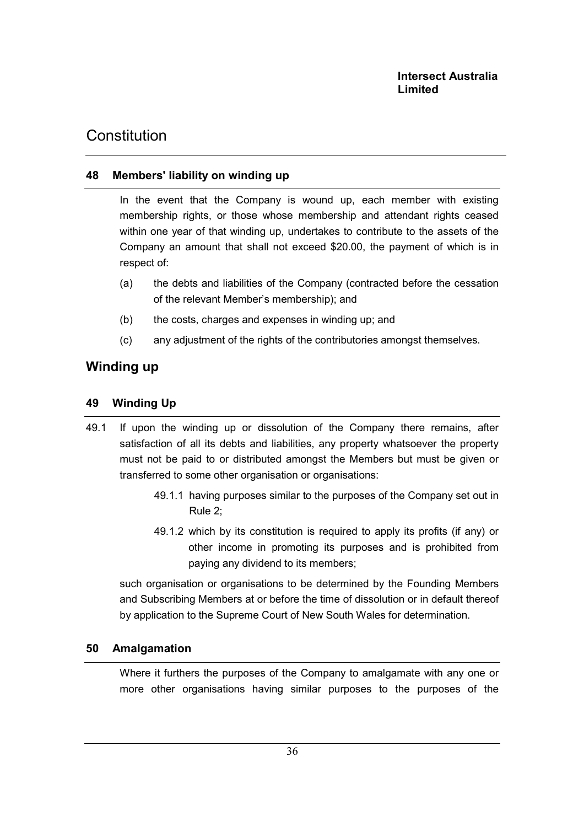### 48 Members' liability on winding up

In the event that the Company is wound up, each member with existing membership rights, or those whose membership and attendant rights ceased within one year of that winding up, undertakes to contribute to the assets of the Company an amount that shall not exceed \$20.00, the payment of which is in respect of:

- (a) the debts and liabilities of the Company (contracted before the cessation of the relevant Member's membership); and
- (b) the costs, charges and expenses in winding up; and
- (c) any adjustment of the rights of the contributories amongst themselves.

## Winding up

### 49 Winding Up

- 49.1 If upon the winding up or dissolution of the Company there remains, after satisfaction of all its debts and liabilities, any property whatsoever the property must not be paid to or distributed amongst the Members but must be given or transferred to some other organisation or organisations:
	- 49.1.1 having purposes similar to the purposes of the Company set out in Rule 2;
	- 49.1.2 which by its constitution is required to apply its profits (if any) or other income in promoting its purposes and is prohibited from paying any dividend to its members;

such organisation or organisations to be determined by the Founding Members and Subscribing Members at or before the time of dissolution or in default thereof by application to the Supreme Court of New South Wales for determination.

### 50 Amalgamation

Where it furthers the purposes of the Company to amalgamate with any one or more other organisations having similar purposes to the purposes of the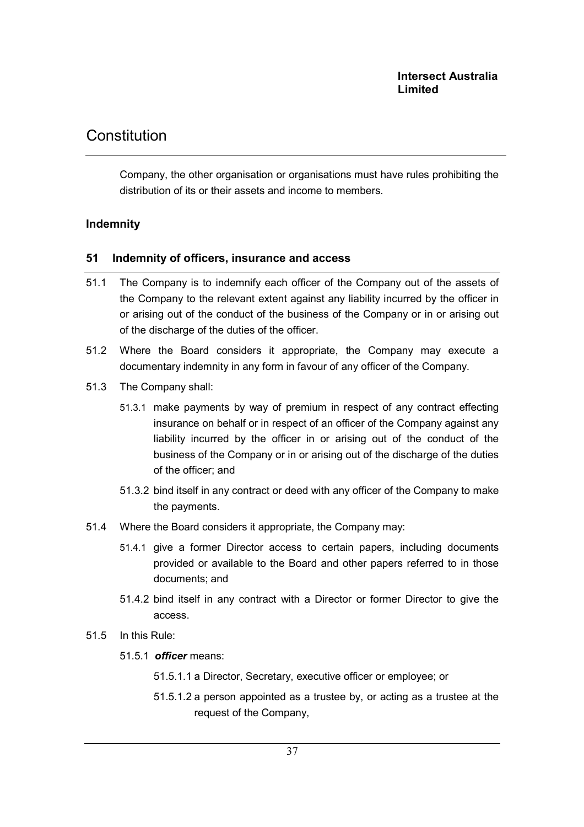## Constitution

Company, the other organisation or organisations must have rules prohibiting the distribution of its or their assets and income to members.

### Indemnity

#### 51 Indemnity of officers, insurance and access

- 51.1 The Company is to indemnify each officer of the Company out of the assets of the Company to the relevant extent against any liability incurred by the officer in or arising out of the conduct of the business of the Company or in or arising out of the discharge of the duties of the officer.
- 51.2 Where the Board considers it appropriate, the Company may execute a documentary indemnity in any form in favour of any officer of the Company.
- 51.3 The Company shall:
	- 51.3.1 make payments by way of premium in respect of any contract effecting insurance on behalf or in respect of an officer of the Company against any liability incurred by the officer in or arising out of the conduct of the business of the Company or in or arising out of the discharge of the duties of the officer; and
	- 51.3.2 bind itself in any contract or deed with any officer of the Company to make the payments.
- 51.4 Where the Board considers it appropriate, the Company may:
	- 51.4.1 give a former Director access to certain papers, including documents provided or available to the Board and other papers referred to in those documents; and
	- 51.4.2 bind itself in any contract with a Director or former Director to give the access.
- 51.5 In this Rule:
	- 51.5.1 *officer* means:
		- 51.5.1.1 a Director, Secretary, executive officer or employee; or
		- 51.5.1.2 a person appointed as a trustee by, or acting as a trustee at the request of the Company,